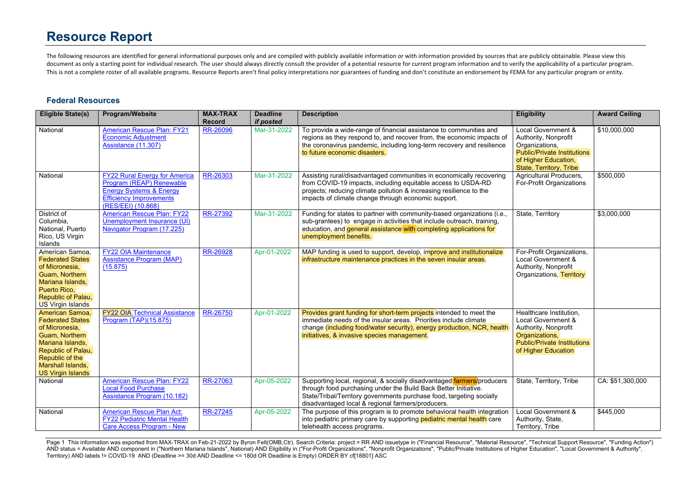The following resources are identified for general informational purposes only and are compiled with publicly available information or with information provided by sources that are publicly obtainable. Please view this document as only a starting point for individual research. The user should always directly consult the provider of a potential resource for current program information and to verify the applicability of a particular progra This is not a complete roster of all available programs. Resource Reports aren't final policy interpretations nor guarantees of funding and don't constitute an endorsement by FEMA for any particular program or entity.

#### **Federal Resources**

| <b>Eligible State(s)</b>                                                                                                                                                                     | <b>Program/Website</b>                                                                                                                                         | <b>MAX-TRAX</b><br><b>Record</b> | <b>Deadline</b><br>if posted | <b>Description</b>                                                                                                                                                                                                                                                     | <b>Eligibility</b>                                                                                                                                    | <b>Award Ceiling</b> |
|----------------------------------------------------------------------------------------------------------------------------------------------------------------------------------------------|----------------------------------------------------------------------------------------------------------------------------------------------------------------|----------------------------------|------------------------------|------------------------------------------------------------------------------------------------------------------------------------------------------------------------------------------------------------------------------------------------------------------------|-------------------------------------------------------------------------------------------------------------------------------------------------------|----------------------|
| National                                                                                                                                                                                     | <b>American Rescue Plan: FY21</b><br><b>Economic Adiustment</b><br>Assistance (11.307)                                                                         | <b>RR-26096</b>                  | Mar-31-2022                  | To provide a wide-range of financial assistance to communities and<br>regions as they respond to, and recover from, the economic impacts of<br>the coronavirus pandemic, including long-term recovery and resilience<br>to future economic disasters.                  | Local Government &<br>Authority, Nonprofit<br>Organizations,<br><b>Public/Private Institutions</b><br>of Higher Education,<br>State, Territory, Tribe | \$10,000,000         |
| National                                                                                                                                                                                     | <b>FY22 Rural Energy for America</b><br>Program (REAP) Renewable<br><b>Energy Systems &amp; Energy</b><br><b>Efficiency Improvements</b><br>(RES/EEI) (10.868) | RR-26303                         | Mar-31-2022                  | Assisting rural/disadvantaged communities in economically recovering<br>from COVID-19 impacts, including equitable access to USDA-RD<br>projects; reducing climate pollution & increasing resilience to the<br>impacts of climate change through economic support.     | Agricultural Producers,<br>For-Profit Organizations                                                                                                   | \$500,000            |
| District of<br>Columbia,<br>National, Puerto<br>Rico, US Virgin<br>Islands                                                                                                                   | <b>American Rescue Plan: FY22</b><br>Unemployment Insurance (UI)<br>Navigator Program (17.225)                                                                 | RR-27392                         | Mar-31-2022                  | Funding for states to partner with community-based organizations (i.e.,<br>sub-grantees) to engage in activities that include outreach, training,<br>education, and general assistance with completing applications for<br>unemployment benefits.                      | State, Territory                                                                                                                                      | \$3,000,000          |
| American Samoa,<br><b>Federated States</b><br>of Micronesia.<br>Guam, Northern<br>Mariana Islands,<br>Puerto Rico,<br>Republic of Palau,<br>US Virgin Islands                                | <b>FY22 OIA Maintenance</b><br><b>Assistance Program (MAP)</b><br>(15.875)                                                                                     | RR-26928                         | Apr-01-2022                  | MAP funding is used to support, develop, improve and institutionalize<br>infrastructure maintenance practices in the seven insular areas.                                                                                                                              | For-Profit Organizations,<br>Local Government &<br>Authority, Nonprofit<br>Organizations, Territory                                                   |                      |
| American Samoa.<br><b>Federated States</b><br>of Micronesia,<br>Guam, Northern<br>Mariana Islands.<br>Republic of Palau,<br>Republic of the<br>Marshall Islands,<br><b>US Virgin Islands</b> | <b>FY22 OIA Technical Assistance</b><br>Program (TAP)(15.875)                                                                                                  | RR-26750                         | Apr-01-2022                  | Provides grant funding for short-term projects intended to meet the<br>immediate needs of the insular areas. Priorities include climate<br>change (including food/water security), energy production, NCR, health<br>initiatives, & invasive species management.       | Healthcare Institution.<br>Local Government &<br>Authority, Nonprofit<br>Organizations,<br><b>Public/Private Institutions</b><br>of Higher Education  |                      |
| National                                                                                                                                                                                     | <b>American Rescue Plan: FY22</b><br><b>Local Food Purchase</b><br>Assistance Program (10.182)                                                                 | RR-27063                         | Apr-05-2022                  | Supporting local, regional, & socially disadvantaged farmers/producers<br>through food purchasing under the Build Back Better Initiative.<br>State/Tribal/Territory governments purchase food, targeting socially<br>disadvantaged local & regional farmers/producers. | State, Territory, Tribe                                                                                                                               | CA: \$51,300,000     |
| National                                                                                                                                                                                     | <b>American Rescue Plan Act:</b><br><b>FY22 Pediatric Mental Health</b><br>Care Access Program - New                                                           | RR-27245                         | Apr-05-2022                  | The purpose of this program is to promote behavioral health integration<br>into pediatric primary care by supporting pediatric mental health care<br>telehealth access programs.                                                                                       | Local Government &<br>Authority, State,<br>Territory, Tribe                                                                                           | \$445,000            |

Page 1 This information was exported from MAX-TRAX on Feb-21-2022 by Byron Felt(OMB,Ctr). Search Criteria: project = RR AND issuetype in ("Financial Resource", "Material Resource", "Technical Support Resource", "Funding Ac AND status = Available AND component in ("Northern Mariana Islands", National) AND Eligibility in ("For-Profit Organizations", "Nonprofit Organizations", "Public/Private Institutions of Higher Education", "Local Government Territory) AND labels != COVID-19 AND (Deadline >= 30d AND Deadline <= 180d OR Deadline is Empty) ORDER BY cf[18801] ASC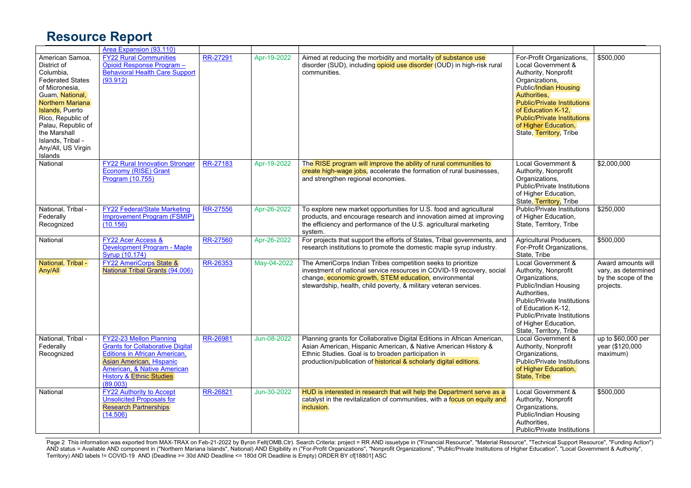|                                                                                                                                                                                                                                                                            | Area Expansion (93.110)                                                                                                                                                                                                  |                 |             |                                                                                                                                                                                                                                                                        |                                                                                                                                                                                                                                                                                         |                                                                               |
|----------------------------------------------------------------------------------------------------------------------------------------------------------------------------------------------------------------------------------------------------------------------------|--------------------------------------------------------------------------------------------------------------------------------------------------------------------------------------------------------------------------|-----------------|-------------|------------------------------------------------------------------------------------------------------------------------------------------------------------------------------------------------------------------------------------------------------------------------|-----------------------------------------------------------------------------------------------------------------------------------------------------------------------------------------------------------------------------------------------------------------------------------------|-------------------------------------------------------------------------------|
| American Samoa.<br>District of<br>Columbia,<br><b>Federated States</b><br>of Micronesia,<br>Guam, National,<br>Northern Mariana<br><b>Islands, Puerto</b><br>Rico, Republic of<br>Palau, Republic of<br>the Marshall<br>Islands, Tribal -<br>Any/All, US Virgin<br>Islands | <b>FY22 Rural Communities</b><br>Opioid Response Program -<br><b>Behavioral Health Care Support</b><br>(93.912)                                                                                                          | RR-27291        | Apr-19-2022 | Aimed at reducing the morbidity and mortality of substance use<br>disorder (SUD), including opioid use disorder (OUD) in high-risk rural<br>communities.                                                                                                               | For-Profit Organizations,<br>Local Government &<br>Authority, Nonprofit<br>Organizations,<br>Public/Indian Housing<br>Authorities,<br><b>Public/Private Institutions</b><br>of Education K-12.<br><b>Public/Private Institutions</b><br>of Higher Education,<br>State, Territory, Tribe | \$500,000                                                                     |
| National                                                                                                                                                                                                                                                                   | <b>FY22 Rural Innovation Stronger</b><br>Economy (RISE) Grant<br>Program (10.755)                                                                                                                                        | RR-27183        | Apr-19-2022 | The RISE program will improve the ability of rural communities to<br>create high-wage jobs, accelerate the formation of rural businesses,<br>and strengthen regional economies.                                                                                        | Local Government &<br>Authority, Nonprofit<br>Organizations.<br>Public/Private Institutions<br>of Higher Education,<br>State, Territory, Tribe                                                                                                                                          | \$2,000,000                                                                   |
| National, Tribal -<br>Federally<br>Recognized                                                                                                                                                                                                                              | <b>FY22 Federal/State Marketing</b><br><b>Improvement Program (FSMIP)</b><br>(10.156)                                                                                                                                    | <b>RR-27556</b> | Apr-26-2022 | To explore new market opportunities for U.S. food and agricultural<br>products, and encourage research and innovation aimed at improving<br>the efficiency and performance of the U.S. agricultural marketing<br>system.                                               | <b>Public/Private Institutions</b><br>of Higher Education,<br>State, Territory, Tribe                                                                                                                                                                                                   | \$250,000                                                                     |
| National                                                                                                                                                                                                                                                                   | <b>FY22 Acer Access &amp;</b><br>Development Program - Maple<br><b>Syrup (10.174)</b>                                                                                                                                    | <b>RR-27560</b> | Apr-26-2022 | For projects that support the efforts of States, Tribal governments, and<br>research institutions to promote the domestic maple syrup industry.                                                                                                                        | Agricultural Producers,<br>For-Profit Organizations,<br>State, Tribe                                                                                                                                                                                                                    | \$500,000                                                                     |
| National, Tribal -<br>Any/All                                                                                                                                                                                                                                              | <b>FY22 AmeriCorps State &amp;</b><br>National Tribal Grants (94.006)                                                                                                                                                    | RR-26353        | May-04-2022 | The AmeriCorps Indian Tribes competition seeks to prioritize<br>investment of national service resources in COVID-19 recovery, social<br>change, economic growth, STEM education, environmental<br>stewardship, health, child poverty, & military veteran services.    | Local Government &<br>Authority, Nonprofit<br>Organizations,<br>Public/Indian Housing<br>Authorities.<br><b>Public/Private Institutions</b><br>of Education K-12.<br>Public/Private Institutions<br>of Higher Education,<br>State, Territory, Tribe                                     | Award amounts will<br>vary, as determined<br>by the scope of the<br>projects. |
| National. Tribal -<br>Federally<br>Recognized                                                                                                                                                                                                                              | FY22-23 Mellon Planning<br><b>Grants for Collaborative Digital</b><br><b>Editions in African American,</b><br>Asian American, Hispanic<br>American, & Native American<br><b>History &amp; Ethnic Studies</b><br>(89.003) | RR-26981        | Jun-08-2022 | Planning grants for Collaborative Digital Editions in African American,<br>Asian American, Hispanic American, & Native American History &<br>Ethnic Studies. Goal is to broaden participation in<br>production/publication of historical & scholarly digital editions. | <b>Local Government &amp;</b><br>Authority, Nonprofit<br>Organizations,<br><b>Public/Private Institutions</b><br>of Higher Education,<br>State, Tribe                                                                                                                                   | up to \$60,000 per<br>year (\$120,000<br>maximum)                             |
| National                                                                                                                                                                                                                                                                   | <b>FY22 Authority to Accept</b><br><b>Unsolicited Proposals for</b><br><b>Research Partnerships</b><br>(14.506)                                                                                                          | RR-26821        | Jun-30-2022 | HUD is interested in research that will help the Department serve as a<br>catalyst in the revitalization of communities, with a focus on equity and<br>inclusion.                                                                                                      | Local Government &<br>Authority, Nonprofit<br>Organizations,<br>Public/Indian Housing<br>Authorities.<br><b>Public/Private Institutions</b>                                                                                                                                             | \$500,000                                                                     |

Page 2 This information was exported from MAX-TRAX on Feb-21-2022 by Byron Felt(OMB,Ctr). Search Criteria: project = RR AND issuetype in ("Financial Resource", "Material Resource", "Technical Support Resource", "Funding Ac AND status = Available AND component in ("Northern Mariana Islands", National) AND Eligibility in ("For-Profit Organizations", "Nonprofit Organizations", "Public/Private Institutions of Higher Education", "Local Government Territory) AND labels != COVID-19 AND (Deadline >= 30d AND Deadline <= 180d OR Deadline is Empty) ORDER BY cf[18801] ASC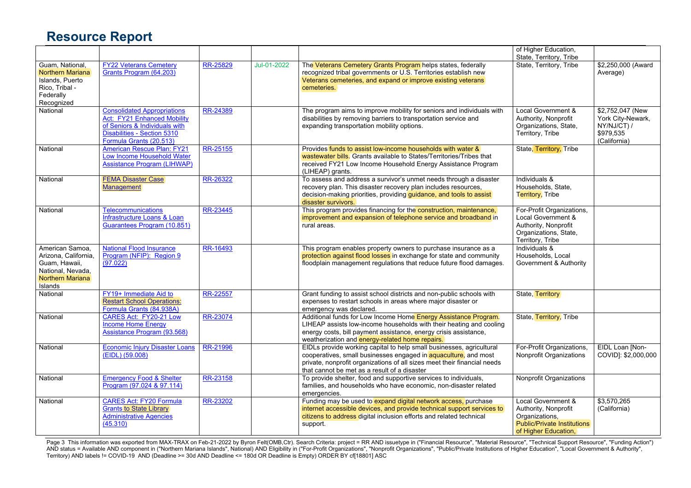|                         |                                       |          |             |                                                                          | of Higher Education,               |                     |
|-------------------------|---------------------------------------|----------|-------------|--------------------------------------------------------------------------|------------------------------------|---------------------|
|                         |                                       |          |             |                                                                          | State, Territory, Tribe            |                     |
| Guam, National,         | <b>FY22 Veterans Cemetery</b>         | RR-25829 | Jul-01-2022 | The Veterans Cemetery Grants Program helps states, federally             | State, Territory, Tribe            | \$2,250,000 (Award  |
| <b>Northern Mariana</b> | Grants Program (64.203)               |          |             | recognized tribal governments or U.S. Territories establish new          |                                    | Average)            |
| <b>Islands, Puerto</b>  |                                       |          |             | Veterans cemeteries, and expand or improve existing veterans             |                                    |                     |
| Rico, Tribal -          |                                       |          |             | cemeteries.                                                              |                                    |                     |
| Federally               |                                       |          |             |                                                                          |                                    |                     |
| Recognized              |                                       |          |             |                                                                          |                                    |                     |
| National                | <b>Consolidated Appropriations</b>    | RR-24389 |             | The program aims to improve mobility for seniors and individuals with    | Local Government &                 | \$2,752,047 (New    |
|                         | <b>Act: FY21 Enhanced Mobility</b>    |          |             | disabilities by removing barriers to transportation service and          | Authority, Nonprofit               | York City-Newark,   |
|                         | of Seniors & Individuals with         |          |             | expanding transportation mobility options.                               | Organizations, State,              | NY/NJ/CT) /         |
|                         | Disabilities - Section 5310           |          |             |                                                                          | Territory, Tribe                   | \$979,535           |
|                         | Formula Grants (20.513)               |          |             |                                                                          |                                    | (California)        |
| National                | American Rescue Plan: FY21            | RR-25155 |             | Provides funds to assist low-income households with water &              | State, Territory, Tribe            |                     |
|                         | Low Income Household Water            |          |             | wastewater bills. Grants available to States/Territories/Tribes that     |                                    |                     |
|                         | Assistance Program (LIHWAP)           |          |             | received FY21 Low Income Household Energy Assistance Program             |                                    |                     |
|                         |                                       |          |             | (LIHEAP) grants.                                                         |                                    |                     |
| National                | <b>FEMA Disaster Case</b>             | RR-26322 |             | To assess and address a survivor's unmet needs through a disaster        | Individuals &                      |                     |
|                         | <b>Management</b>                     |          |             | recovery plan. This disaster recovery plan includes resources,           | Households, State,                 |                     |
|                         |                                       |          |             | decision-making priorities, providing guidance, and tools to assist      | Territory, Tribe                   |                     |
|                         |                                       |          |             | disaster survivors.                                                      |                                    |                     |
| National                | <b>Telecommunications</b>             | RR-23445 |             | This program provides financing for the construction, maintenance,       | For-Profit Organizations,          |                     |
|                         | Infrastructure Loans & Loan           |          |             | improvement and expansion of telephone service and broadband in          | Local Government &                 |                     |
|                         | Guarantees Program (10.851)           |          |             | rural areas.                                                             | Authority, Nonprofit               |                     |
|                         |                                       |          |             |                                                                          | Organizations, State,              |                     |
|                         |                                       |          |             |                                                                          | Territory, Tribe                   |                     |
| American Samoa.         | <b>National Flood Insurance</b>       | RR-16493 |             | This program enables property owners to purchase insurance as a          | Individuals &                      |                     |
| Arizona, California,    | Program (NFIP): Region 9              |          |             | protection against flood losses in exchange for state and community      | Households, Local                  |                     |
| Guam, Hawaii,           | (97.022)                              |          |             | floodplain management regulations that reduce future flood damages.      | Government & Authority             |                     |
| National, Nevada,       |                                       |          |             |                                                                          |                                    |                     |
| <b>Northern Mariana</b> |                                       |          |             |                                                                          |                                    |                     |
| <b>Islands</b>          |                                       |          |             |                                                                          |                                    |                     |
| National                | FY19+ Immediate Aid to                | RR-22557 |             | Grant funding to assist school districts and non-public schools with     | State, Territory                   |                     |
|                         | <b>Restart School Operations:</b>     |          |             | expenses to restart schools in areas where major disaster or             |                                    |                     |
|                         | Formula Grants (84.938A)              |          |             | emergency was declared.                                                  |                                    |                     |
| National                | CARES Act: FY20-21 Low                | RR-23074 |             | Additional funds for Low Income Home Energy Assistance Program.          | State, Territory, Tribe            |                     |
|                         | <b>Income Home Energy</b>             |          |             | LIHEAP assists low-income households with their heating and cooling      |                                    |                     |
|                         | Assistance Program (93.568)           |          |             | energy costs, bill payment assistance, energy crisis assistance,         |                                    |                     |
|                         |                                       |          |             | weatherization and energy-related home repairs.                          |                                    |                     |
| National                | <b>Economic Injury Disaster Loans</b> | RR-21996 |             | EIDLs provide working capital to help small businesses, agricultural     | For-Profit Organizations,          | EIDL Loan [Non-     |
|                         | (EIDL) (59.008)                       |          |             | cooperatives, small businesses engaged in aquaculture, and most          | Nonprofit Organizations            | COVID]: \$2,000,000 |
|                         |                                       |          |             | private, nonprofit organizations of all sizes meet their financial needs |                                    |                     |
|                         |                                       |          |             | that cannot be met as a result of a disaster                             |                                    |                     |
| National                | <b>Emergency Food &amp; Shelter</b>   | RR-23158 |             | To provide shelter, food and supportive services to individuals,         | <b>Nonprofit Organizations</b>     |                     |
|                         | Program (97.024 & 97.114)             |          |             | families, and households who have economic, non-disaster related         |                                    |                     |
|                         |                                       |          |             | emergencies.                                                             |                                    |                     |
| National                | <b>CARES Act: FY20 Formula</b>        | RR-23202 |             | Funding may be used to expand digital network access, purchase           | Local Government &                 | \$3,570,265         |
|                         | <b>Grants to State Library</b>        |          |             | internet accessible devices, and provide technical support services to   | Authority, Nonprofit               | (California)        |
|                         | <b>Administrative Agencies</b>        |          |             | citizens to address digital inclusion efforts and related technical      | Organizations,                     |                     |
|                         | (45.310)                              |          |             | support.                                                                 | <b>Public/Private Institutions</b> |                     |
|                         |                                       |          |             |                                                                          | of Higher Education,               |                     |
|                         |                                       |          |             |                                                                          |                                    |                     |

Page 3 This information was exported from MAX-TRAX on Feb-21-2022 by Byron Felt(OMB,Ctr). Search Criteria: project = RR AND issuetype in ("Financial Resource", "Material Resource", "Technical Support Resource", "Funding Ac AND status = Available AND component in ("Northern Mariana Islands", National) AND Eligibility in ("For-Profit Organizations", "Nonprofit Organizations", "Public/Private Institutions of Higher Education", "Local Government Territory) AND labels != COVID-19 AND (Deadline >= 30d AND Deadline <= 180d OR Deadline is Empty) ORDER BY cf[18801] ASC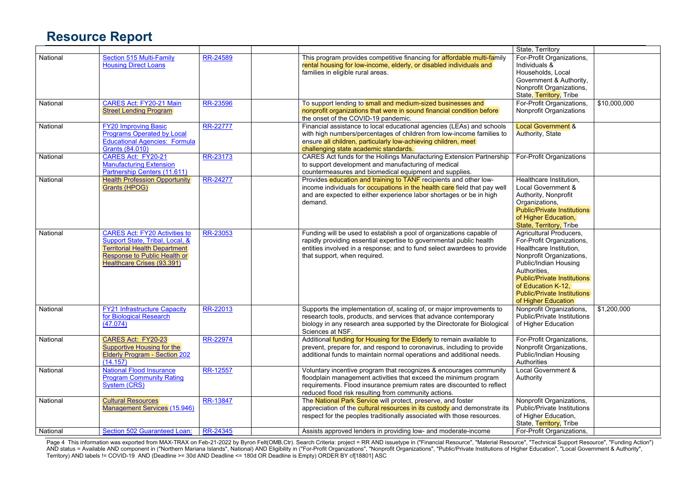|          |                                                                                                                                                                               |                 |                                                                                                                                                                                                                                                                         | State, Territory                                                                                                                                                                                                                                                                     |              |
|----------|-------------------------------------------------------------------------------------------------------------------------------------------------------------------------------|-----------------|-------------------------------------------------------------------------------------------------------------------------------------------------------------------------------------------------------------------------------------------------------------------------|--------------------------------------------------------------------------------------------------------------------------------------------------------------------------------------------------------------------------------------------------------------------------------------|--------------|
| National | Section 515 Multi-Family<br><b>Housing Direct Loans</b>                                                                                                                       | <b>RR-24589</b> | This program provides competitive financing for affordable multi-family<br>rental housing for low-income, elderly, or disabled individuals and<br>families in eligible rural areas.                                                                                     | For-Profit Organizations,<br>Individuals &<br>Households, Local                                                                                                                                                                                                                      |              |
|          |                                                                                                                                                                               |                 |                                                                                                                                                                                                                                                                         | Government & Authority,<br>Nonprofit Organizations,<br>State, Territory, Tribe                                                                                                                                                                                                       |              |
| National | CARES Act: FY20-21 Main<br><b>Street Lending Program</b>                                                                                                                      | RR-23596        | To support lending to small and medium-sized businesses and<br>nonprofit organizations that were in sound financial condition before<br>the onset of the COVID-19 pandemic.                                                                                             | For-Profit Organizations,<br>Nonprofit Organizations                                                                                                                                                                                                                                 | \$10,000,000 |
| National | <b>FY20 Improving Basic</b><br><b>Programs Operated by Local</b><br><b>Educational Agencies: Formula</b><br>Grants (84.010)                                                   | RR-22777        | Financial assistance to local educational agencies (LEAs) and schools<br>with high numbers/percentages of children from low-income families to<br>ensure all children, particularly low-achieving children, meet<br>challenging state academic standards.               | <b>Local Government &amp;</b><br>Authority, State                                                                                                                                                                                                                                    |              |
| National | CARES Act: FY20-21<br><b>Manufacturing Extension</b><br>Partnership Centers (11.611)                                                                                          | RR-23173        | CARES Act funds for the Hollings Manufacturing Extension Partnership<br>to support development and manufacturing of medical<br>countermeasures and biomedical equipment and supplies.                                                                                   | For-Profit Organizations                                                                                                                                                                                                                                                             |              |
| National | <b>Health Profession Opportunity</b><br>Grants (HPOG)                                                                                                                         | RR-24277        | Provides education and training to TANF recipients and other low-<br>income individuals for occupations in the health care field that pay well<br>and are expected to either experience labor shortages or be in high<br>demand.                                        | Healthcare Institution,<br>Local Government &<br>Authority, Nonprofit<br>Organizations,<br><b>Public/Private Institutions</b><br>of Higher Education,<br>State, Territory, Tribe                                                                                                     |              |
| National | <b>CARES Act: FY20 Activities to</b><br>Support State, Tribal, Local, &<br><b>Territorial Health Department</b><br>Response to Public Health or<br>Healthcare Crises (93.391) | RR-23053        | Funding will be used to establish a pool of organizations capable of<br>rapidly providing essential expertise to governmental public health<br>entities involved in a response; and to fund select awardees to provide<br>that support, when required.                  | <b>Agricultural Producers,</b><br>For-Profit Organizations,<br>Healthcare Institution,<br>Nonprofit Organizations,<br>Public/Indian Housing<br>Authorities,<br><b>Public/Private Institutions</b><br>of Education K-12,<br><b>Public/Private Institutions</b><br>of Higher Education |              |
| National | <b>FY21 Infrastructure Capacity</b><br>for Biological Research<br>(47.074)                                                                                                    | RR-22013        | Supports the implementation of, scaling of, or major improvements to<br>research tools, products, and services that advance contemporary<br>biology in any research area supported by the Directorate for Biological<br>Sciences at NSF.                                | Nonprofit Organizations,<br><b>Public/Private Institutions</b><br>of Higher Education                                                                                                                                                                                                | \$1,200,000  |
| National | CARES Act: FY20-23<br>Supportive Housing for the<br><b>Elderly Program - Section 202</b><br>(14.157)                                                                          | RR-22974        | Additional funding for Housing for the Elderly to remain available to<br>prevent, prepare for, and respond to coronavirus, including to provide<br>additional funds to maintain normal operations and additional needs.                                                 | For-Profit Organizations,<br>Nonprofit Organizations,<br>Public/Indian Housing<br><b>Authorities</b>                                                                                                                                                                                 |              |
| National | <b>National Flood Insurance</b><br><b>Program Community Rating</b><br>System (CRS)                                                                                            | RR-12557        | Voluntary incentive program that recognizes & encourages community<br>floodplain management activities that exceed the minimum program<br>requirements. Flood insurance premium rates are discounted to reflect<br>reduced flood risk resulting from community actions. | Local Government &<br>Authority                                                                                                                                                                                                                                                      |              |
| National | <b>Cultural Resources</b><br><b>Management Services (15.946)</b>                                                                                                              | RR-13847        | The National Park Service will protect, preserve, and foster<br>appreciation of the cultural resources in its custody and demonstrate its<br>respect for the peoples traditionally associated with those resources.                                                     | Nonprofit Organizations,<br><b>Public/Private Institutions</b><br>of Higher Education,<br>State, Territory, Tribe                                                                                                                                                                    |              |
| National | Section 502 Guaranteed Loan:                                                                                                                                                  | RR-24345        | Assists approved lenders in providing low- and moderate-income                                                                                                                                                                                                          | For-Profit Organizations,                                                                                                                                                                                                                                                            |              |

Page 4 This information was exported from MAX-TRAX on Feb-21-2022 by Byron Felt(OMB,Ctr). Search Criteria: project = RR AND issuetype in ("Financial Resource", "Material Resource", "Technical Support Resource", "Funding Ac AND status = Available AND component in ("Northern Mariana Islands", National) AND Eligibility in ("For-Profit Organizations", "Nonprofit Organizations", "Public/Private Institutions of Higher Education", "Local Government Territory) AND labels != COVID-19 AND (Deadline >= 30d AND Deadline <= 180d OR Deadline is Empty) ORDER BY cf[18801] ASC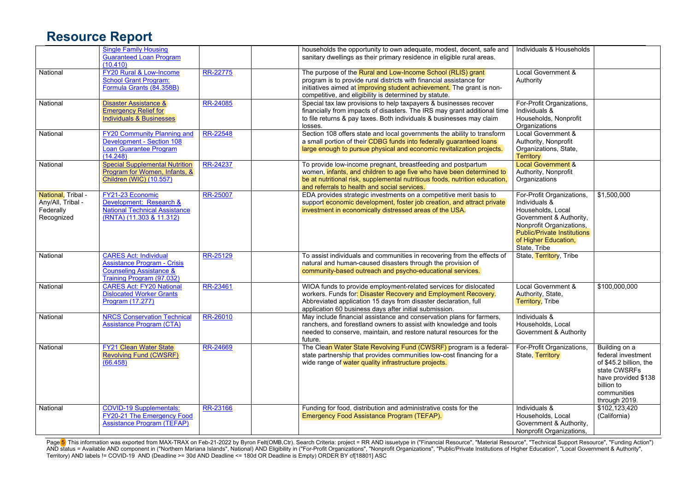|                                                                    | <b>Single Family Housing</b><br><b>Guaranteed Loan Program</b><br>(10.410)                                                     |          | households the opportunity to own adequate, modest, decent, safe and<br>sanitary dwellings as their primary residence in eligible rural areas.                                                                                                                               | Individuals & Households                                                                                                                                                                             |                                                                                                                                                    |
|--------------------------------------------------------------------|--------------------------------------------------------------------------------------------------------------------------------|----------|------------------------------------------------------------------------------------------------------------------------------------------------------------------------------------------------------------------------------------------------------------------------------|------------------------------------------------------------------------------------------------------------------------------------------------------------------------------------------------------|----------------------------------------------------------------------------------------------------------------------------------------------------|
| National                                                           | FY20 Rural & Low-Income<br>School Grant Program:<br>Formula Grants (84.358B)                                                   | RR-22775 | The purpose of the Rural and Low-Income School (RLIS) grant<br>program is to provide rural districts with financial assistance for<br>initiatives aimed at <i>improving</i> student achievement. The grant is non-<br>competitive, and eligibility is determined by statute. | Local Government &<br>Authority                                                                                                                                                                      |                                                                                                                                                    |
| National                                                           | <b>Disaster Assistance &amp;</b><br><b>Emergency Relief for</b><br><b>Individuals &amp; Businesses</b>                         | RR-24085 | Special tax law provisions to help taxpayers & businesses recover<br>financially from impacts of disasters. The IRS may grant additional time<br>to file returns & pay taxes. Both individuals & businesses may claim<br>losses.                                             | For-Profit Organizations,<br>Individuals &<br>Households, Nonprofit<br>Organizations                                                                                                                 |                                                                                                                                                    |
| National                                                           | <b>FY20 Community Planning and</b><br>Development - Section 108<br>Loan Guarantee Program<br>(14.248)                          | RR-22548 | Section 108 offers state and local governments the ability to transform<br>a small portion of their CDBG funds into federally guaranteed loans<br>large enough to pursue physical and economic revitalization projects.                                                      | Local Government &<br>Authority, Nonprofit<br>Organizations, State,<br>Territory                                                                                                                     |                                                                                                                                                    |
| National                                                           | <b>Special Supplemental Nutrition</b><br>Program for Women, Infants, &<br><b>Children (WIC) (10.557)</b>                       | RR-24237 | To provide low-income pregnant, breastfeeding and postpartum<br>women, infants, and children to age five who have been determined to<br>be at nutritional risk, supplemental nutritious foods, nutrition education,<br>and referrals to health and social services.          | Local Government &<br>Authority, Nonprofit<br>Organizations                                                                                                                                          |                                                                                                                                                    |
| National, Tribal -<br>Any/All, Tribal -<br>Federally<br>Recognized | FY21-23 Economic<br>Development: Research &<br><b>National Technical Assistance</b><br>(RNTA) (11.303 & 11.312)                | RR-25007 | EDA provides strategic investments on a competitive merit basis to<br>support economic development, foster job creation, and attract private<br>investment in economically distressed areas of the USA.                                                                      | For-Profit Organizations,<br>Individuals &<br>Households, Local<br>Government & Authority,<br>Nonprofit Organizations,<br><b>Public/Private Institutions</b><br>of Higher Education,<br>State, Tribe | \$1,500,000                                                                                                                                        |
| National                                                           | <b>CARES Act: Individual</b><br>Assistance Program - Crisis<br><b>Counseling Assistance &amp;</b><br>Training Program (97.032) | RR-25129 | To assist individuals and communities in recovering from the effects of<br>natural and human-caused disasters through the provision of<br>community-based outreach and psycho-educational services.                                                                          | State, Territory, Tribe                                                                                                                                                                              |                                                                                                                                                    |
| National                                                           | <b>CARES Act: FY20 National</b><br><b>Dislocated Worker Grants</b><br>Program (17.277)                                         | RR-23461 | WIOA funds to provide employment-related services for dislocated<br>workers. Funds for: Disaster Recovery and Employment Recovery.<br>Abbreviated application 15 days from disaster declaration, full<br>application 60 business days after initial submission.              | Local Government &<br>Authority, State,<br><b>Territory</b> , Tribe                                                                                                                                  | \$100,000,000                                                                                                                                      |
| National                                                           | <b>NRCS Conservation Technical</b><br>Assistance Program (CTA)                                                                 | RR-26010 | May include financial assistance and conservation plans for farmers,<br>ranchers, and forestland owners to assist with knowledge and tools<br>needed to conserve, maintain, and restore natural resources for the<br>future.                                                 | Individuals &<br>Households, Local<br>Government & Authority                                                                                                                                         |                                                                                                                                                    |
| National                                                           | <b>FY21 Clean Water State</b><br><b>Revolving Fund (CWSRF)</b><br>(66.458)                                                     | RR-24669 | The Clean Water State Revolving Fund (CWSRF) program is a federal-<br>state partnership that provides communities low-cost financing for a<br>wide range of water quality infrastructure projects.                                                                           | For-Profit Organizations,<br>State, Territory                                                                                                                                                        | Building on a<br>federal investment<br>of \$45.2 billion, the<br>state CWSRFs<br>have provided \$138<br>billion to<br>communities<br>through 2019. |
| National                                                           | <b>COVID-19 Supplementals:</b><br>FY20-21 The Emergency Food<br><b>Assistance Program (TEFAP)</b>                              | RR-23166 | Funding for food, distribution and administrative costs for the<br>Emergency Food Assistance Program (TEFAP).                                                                                                                                                                | Individuals &<br>Households, Local<br>Government & Authority,<br>Nonprofit Organizations,                                                                                                            | \$102,123,420<br>(California)                                                                                                                      |

Page <mark>5</mark>) This information was exported from MAX-TRAX on Feb-21-2022 by Byron Felt(OMB,Ctr). Search Criteria: project = RR AND issuetype in ("Financial Resource", "Material Resource", "Technical Support Resource", "Funding AND status = Available AND component in ("Northern Mariana Islands", National) AND Eligibility in ("For-Profit Organizations", "Nonprofit Organizations", "Public/Private Institutions of Higher Education", "Local Government Territory) AND labels != COVID-19 AND (Deadline >= 30d AND Deadline <= 180d OR Deadline is Empty) ORDER BY cf[18801] ASC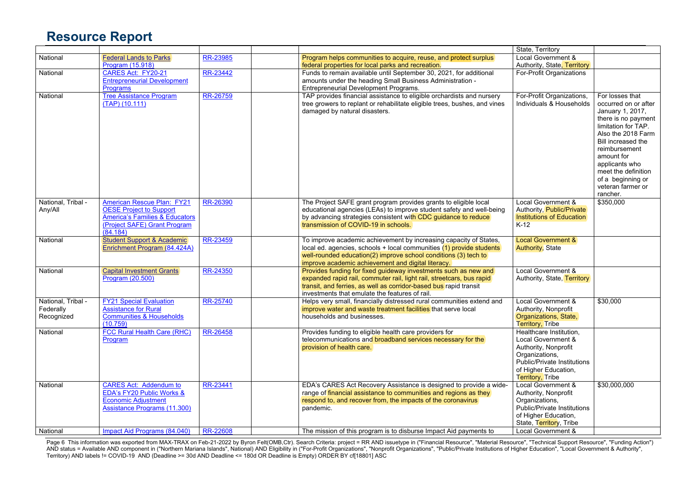|                               |                                                                                                                                                   |          |                                                                                                                                                                                                                                                                    | State, Territory                                                                                                                                                          |                                                                                                                                                                                                                               |
|-------------------------------|---------------------------------------------------------------------------------------------------------------------------------------------------|----------|--------------------------------------------------------------------------------------------------------------------------------------------------------------------------------------------------------------------------------------------------------------------|---------------------------------------------------------------------------------------------------------------------------------------------------------------------------|-------------------------------------------------------------------------------------------------------------------------------------------------------------------------------------------------------------------------------|
| National                      | <b>Federal Lands to Parks</b>                                                                                                                     | RR-23985 | Program helps communities to acquire, reuse, and protect surplus                                                                                                                                                                                                   | Local Government &                                                                                                                                                        |                                                                                                                                                                                                                               |
|                               | <b>Program (15.918)</b>                                                                                                                           |          | federal properties for local parks and recreation.                                                                                                                                                                                                                 | Authority, State, Territory                                                                                                                                               |                                                                                                                                                                                                                               |
| National                      | CARES Act: FY20-21                                                                                                                                | RR-23442 | Funds to remain available until September 30, 2021, for additional                                                                                                                                                                                                 | For-Profit Organizations                                                                                                                                                  |                                                                                                                                                                                                                               |
|                               | <b>Entrepreneurial Development</b>                                                                                                                |          | amounts under the heading Small Business Administration -                                                                                                                                                                                                          |                                                                                                                                                                           |                                                                                                                                                                                                                               |
|                               | <b>Programs</b>                                                                                                                                   |          | Entrepreneurial Development Programs.                                                                                                                                                                                                                              |                                                                                                                                                                           |                                                                                                                                                                                                                               |
| National                      | <b>Tree Assistance Program</b><br>$(TAP)$ (10.111)                                                                                                | RR-26759 | TAP provides financial assistance to eligible orchardists and nursery<br>tree growers to replant or rehabilitate eligible trees, bushes, and vines<br>damaged by natural disasters.                                                                                | For-Profit Organizations,<br>Individuals & Households                                                                                                                     | For losses that<br>occurred on or after<br>January 1, 2017,<br>there is no payment<br>limitation for TAP.<br>Also the 2018 Farm<br>Bill increased the<br>reimbursement<br>amount for<br>applicants who<br>meet the definition |
|                               |                                                                                                                                                   |          |                                                                                                                                                                                                                                                                    |                                                                                                                                                                           | of a beginning or<br>veteran farmer or<br>rancher.                                                                                                                                                                            |
| National, Tribal -<br>Any/All | <b>American Rescue Plan: FY21</b><br><b>OESE Project to Support</b><br>America's Families & Educators<br>(Project SAFE) Grant Program<br>(84.184) | RR-26390 | The Project SAFE grant program provides grants to eligible local<br>educational agencies (LEAs) to improve student safety and well-being<br>by advancing strategies consistent with CDC guidance to reduce<br>transmission of COVID-19 in schools.                 | Local Government &<br>Authority, Public/Private<br><b>Institutions of Education</b><br>$K-12$                                                                             | \$350,000                                                                                                                                                                                                                     |
| National                      | <b>Student Support &amp; Academic</b><br>Enrichment Program (84.424A)                                                                             | RR-23459 | To improve academic achievement by increasing capacity of States,<br>local ed. agencies, schools + local communities (1) provide students<br>well-rounded education(2) improve school conditions (3) tech to<br>improve academic achievement and digital literacy. | <b>Local Government &amp;</b><br><b>Authority, State</b>                                                                                                                  |                                                                                                                                                                                                                               |
| National                      | <b>Capital Investment Grants</b><br><b>Program (20.500)</b>                                                                                       | RR-24350 | Provides funding for fixed guideway investments such as new and<br>expanded rapid rail, commuter rail, light rail, streetcars, bus rapid<br>transit, and ferries, as well as corridor-based bus rapid transit<br>investments that emulate the features of rail.    | Local Government &<br>Authority, State, Territory                                                                                                                         |                                                                                                                                                                                                                               |
| National, Tribal -            | <b>FY21 Special Evaluation</b>                                                                                                                    | RR-25740 | Helps very small, financially distressed rural communities extend and                                                                                                                                                                                              | Local Government &                                                                                                                                                        | \$30,000                                                                                                                                                                                                                      |
| Federally<br>Recognized       | <b>Assistance for Rural</b><br><b>Communities &amp; Households</b>                                                                                |          | improve water and waste treatment facilities that serve local<br>households and businesses.                                                                                                                                                                        | Authority, Nonprofit<br>Organizations, State,                                                                                                                             |                                                                                                                                                                                                                               |
|                               | (10.759)                                                                                                                                          |          |                                                                                                                                                                                                                                                                    | <b>Territory, Tribe</b>                                                                                                                                                   |                                                                                                                                                                                                                               |
| National                      | <b>FCC Rural Health Care (RHC)</b><br>Program                                                                                                     | RR-26458 | Provides funding to eligible health care providers for<br>telecommunications and broadband services necessary for the<br>provision of health care.                                                                                                                 | Healthcare Institution,<br>Local Government &<br>Authority, Nonprofit<br>Organizations,<br>Public/Private Institutions<br>of Higher Education,<br><b>Territory, Tribe</b> |                                                                                                                                                                                                                               |
| National                      | <b>CARES Act: Addendum to</b>                                                                                                                     | RR-23441 | EDA's CARES Act Recovery Assistance is designed to provide a wide-                                                                                                                                                                                                 | Local Government &                                                                                                                                                        | \$30,000,000                                                                                                                                                                                                                  |
|                               | EDA's FY20 Public Works &                                                                                                                         |          | range of financial assistance to communities and regions as they                                                                                                                                                                                                   | Authority, Nonprofit                                                                                                                                                      |                                                                                                                                                                                                                               |
|                               | <b>Economic Adjustment</b>                                                                                                                        |          | respond to, and recover from, the impacts of the coronavirus                                                                                                                                                                                                       | Organizations,                                                                                                                                                            |                                                                                                                                                                                                                               |
|                               | <b>Assistance Programs (11.300)</b>                                                                                                               |          | pandemic.                                                                                                                                                                                                                                                          | <b>Public/Private Institutions</b>                                                                                                                                        |                                                                                                                                                                                                                               |
|                               |                                                                                                                                                   |          |                                                                                                                                                                                                                                                                    | of Higher Education,                                                                                                                                                      |                                                                                                                                                                                                                               |
|                               |                                                                                                                                                   |          |                                                                                                                                                                                                                                                                    | State, Territory, Tribe                                                                                                                                                   |                                                                                                                                                                                                                               |
| National                      | Impact Aid Programs (84.040)                                                                                                                      | RR-22608 | The mission of this program is to disburse Impact Aid payments to                                                                                                                                                                                                  | Local Government &                                                                                                                                                        |                                                                                                                                                                                                                               |

Page 6 This information was exported from MAX-TRAX on Feb-21-2022 by Byron Felt(OMB,Ctr). Search Criteria: project = RR AND issuetype in ("Financial Resource", "Material Resource", "Technical Support Resource", "Funding Ac AND status = Available AND component in ("Northern Mariana Islands", National) AND Eligibility in ("For-Profit Organizations", "Nonprofit Organizations", "Public/Private Institutions of Higher Education", "Local Government Territory) AND labels != COVID-19 AND (Deadline >= 30d AND Deadline <= 180d OR Deadline is Empty) ORDER BY cf[18801] ASC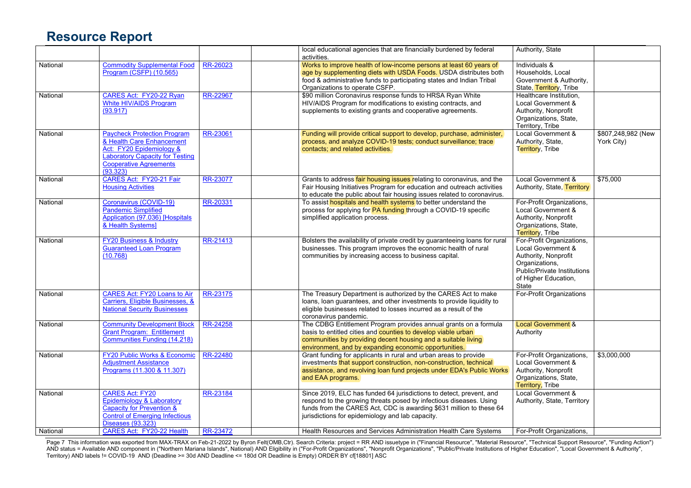|          |                                                                                                                                                                                    |          | local educational agencies that are financially burdened by federal<br>activities.                                                                                                                                                                                   | Authority, State                                                                                                                                          |                                  |
|----------|------------------------------------------------------------------------------------------------------------------------------------------------------------------------------------|----------|----------------------------------------------------------------------------------------------------------------------------------------------------------------------------------------------------------------------------------------------------------------------|-----------------------------------------------------------------------------------------------------------------------------------------------------------|----------------------------------|
| National | <b>Commodity Supplemental Food</b><br>Program (CSFP) (10.565)                                                                                                                      | RR-26023 | Works to improve health of low-income persons at least 60 years of<br>age by supplementing diets with USDA Foods. USDA distributes both<br>food & administrative funds to participating states and Indian Tribal<br>Organizations to operate CSFP.                   | Individuals &<br>Households, Local<br>Government & Authority,<br>State, Territory, Tribe                                                                  |                                  |
| National | CARES Act: FY20-22 Ryan<br>White HIV/AIDS Program<br>(93.917)                                                                                                                      | RR-22967 | \$90 million Coronavirus response funds to HRSA Ryan White<br>HIV/AIDS Program for modifications to existing contracts, and<br>supplements to existing grants and cooperative agreements.                                                                            | Healthcare Institution.<br>Local Government &<br>Authority, Nonprofit<br>Organizations, State,<br>Territory, Tribe                                        |                                  |
| National | <b>Paycheck Protection Program</b><br>& Health Care Enhancement<br>Act: FY20 Epidemiology &<br><b>Laboratory Capacity for Testing</b><br><b>Cooperative Agreements</b><br>(93.323) | RR-23061 | Funding will provide critical support to develop, purchase, administer,<br>process, and analyze COVID-19 tests, conduct surveillance; trace<br>contacts; and related activities.                                                                                     | Local Government &<br>Authority, State,<br>Territory, Tribe                                                                                               | \$807,248,982 (New<br>York City) |
| National | CARES Act: FY20-21 Fair<br><b>Housing Activities</b>                                                                                                                               | RR-23077 | Grants to address fair housing issues relating to coronavirus, and the<br>Fair Housing Initiatives Program for education and outreach activities<br>to educate the public about fair housing issues related to coronavirus.                                          | Local Government &<br>Authority, State, Territory                                                                                                         | \$75,000                         |
| National | Coronavirus (COVID-19)<br><b>Pandemic Simplified</b><br>Application (97.036) [Hospitals<br>& Health Systems]                                                                       | RR-20331 | To assist hospitals and health systems to better understand the<br>process for applying for PA funding through a COVID-19 specific<br>simplified application process.                                                                                                | For-Profit Organizations,<br>Local Government &<br>Authority, Nonprofit<br>Organizations, State,<br>Territory, Tribe                                      |                                  |
| National | <b>FY20 Business &amp; Industry</b><br><b>Guaranteed Loan Program</b><br>(10.768)                                                                                                  | RR-21413 | Bolsters the availability of private credit by guaranteeing loans for rural<br>businesses. This program improves the economic health of rural<br>communities by increasing access to business capital.                                                               | For-Profit Organizations,<br>Local Government &<br>Authority, Nonprofit<br>Organizations,<br>Public/Private Institutions<br>of Higher Education,<br>State |                                  |
| National | <b>CARES Act: FY20 Loans to Air</b><br>Carriers, Eligible Businesses, &<br><b>National Security Businesses</b>                                                                     | RR-23175 | The Treasury Department is authorized by the CARES Act to make<br>loans, loan guarantees, and other investments to provide liquidity to<br>eligible businesses related to losses incurred as a result of the<br>coronavirus pandemic.                                | For-Profit Organizations                                                                                                                                  |                                  |
| National | <b>Community Development Block</b><br><b>Grant Program: Entitlement</b><br><b>Communities Funding (14.218)</b>                                                                     | RR-24258 | The CDBG Entitlement Program provides annual grants on a formula<br>basis to entitled cities and counties to develop viable urban<br>communities by providing decent housing and a suitable living<br>environment, and by expanding economic opportunities.          | <b>Local Government &amp;</b><br>Authority                                                                                                                |                                  |
| National | FY20 Public Works & Economic<br><b>Adjustment Assistance</b><br>Programs (11.300 & 11.307)                                                                                         | RR-22480 | Grant funding for applicants in rural and urban areas to provide<br>investments that support construction, non-construction, technical<br>assistance, and revolving loan fund projects under EDA's Public Works<br>and EAA programs.                                 | For-Profit Organizations,<br>Local Government &<br>Authority, Nonprofit<br>Organizations, State,<br><b>Territory, Tribe</b>                               | \$3,000,000                      |
| National | <b>CARES Act: FY20</b><br>Epidemiology & Laboratory<br>Capacity for Prevention &<br><b>Control of Emerging Infectious</b><br><b>Diseases (93.323)</b>                              | RR-23184 | Since 2019, ELC has funded 64 jurisdictions to detect, prevent, and<br>respond to the growing threats posed by infectious diseases. Using<br>funds from the CARES Act, CDC is awarding \$631 million to these 64<br>jurisdictions for epidemiology and lab capacity. | Local Government &<br>Authority, State, Territory                                                                                                         |                                  |
| National | CARES Act: FY20-22 Health                                                                                                                                                          | RR-23472 | Health Resources and Services Administration Health Care Systems                                                                                                                                                                                                     | For-Profit Organizations.                                                                                                                                 |                                  |

Page 7 This information was exported from MAX-TRAX on Feb-21-2022 by Byron Felt(OMB,Ctr). Search Criteria: project = RR AND issuetype in ("Financial Resource", "Material Resource", "Technical Support Resource", "Funding Ac AND status = Available AND component in ("Northern Mariana Islands", National) AND Eligibility in ("For-Profit Organizations", "Nonprofit Organizations", "Public/Private Institutions of Higher Education", "Local Government Territory) AND labels != COVID-19 AND (Deadline >= 30d AND Deadline <= 180d OR Deadline is Empty) ORDER BY cf[18801] ASC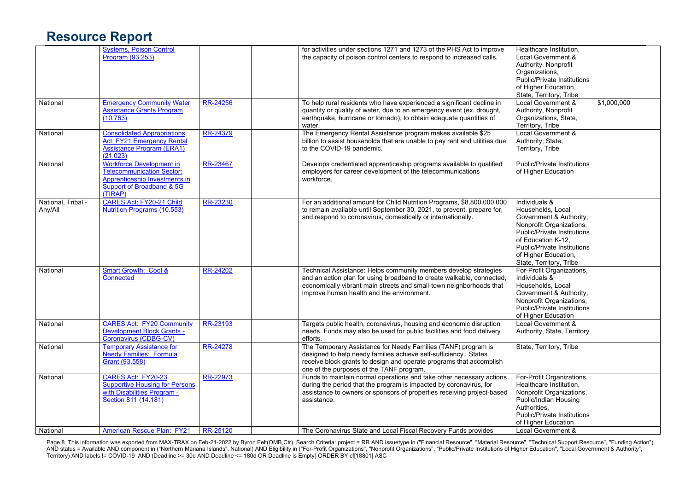|                               | <b>Systems, Poison Control</b><br>Program (93.253)                                                                                               |                      | for activities under sections 1271 and 1273 of the PHS Act to improve<br>the capacity of poison control centers to respond to increased calls.                                                                                                                                                        | Healthcare Institution,<br>Local Government &<br>Authority, Nonprofit<br>Organizations,<br><b>Public/Private Institutions</b><br>of Higher Education,<br>State, Territory, Tribe                                                        |             |
|-------------------------------|--------------------------------------------------------------------------------------------------------------------------------------------------|----------------------|-------------------------------------------------------------------------------------------------------------------------------------------------------------------------------------------------------------------------------------------------------------------------------------------------------|-----------------------------------------------------------------------------------------------------------------------------------------------------------------------------------------------------------------------------------------|-------------|
| National                      | <b>Emergency Community Water</b><br><b>Assistance Grants Program</b><br>(10.763)                                                                 | RR-24256             | To help rural residents who have experienced a significant decline in<br>quantity or quality of water, due to an emergency event (ex. drought,<br>earthquake, hurricane or tornado), to obtain adequate quantities of<br>water.                                                                       | Local Government &<br>Authority, Nonprofit<br>Organizations, State,<br>Territory, Tribe                                                                                                                                                 | \$1,000,000 |
| National                      | <b>Consolidated Appropriations</b><br><b>Act: FY21 Emergency Rental</b><br>Assistance Program (ERA1)<br>(21.023)                                 | RR-24379             | The Emergency Rental Assistance program makes available \$25<br>billion to assist households that are unable to pay rent and utilities due<br>to the COVID-19 pandemic.                                                                                                                               | Local Government &<br>Authority, State,<br>Territory, Tribe                                                                                                                                                                             |             |
| National                      | <b>Workforce Development in</b><br>Telecommunication Sector:<br>Apprenticeship Investments in<br>Support of Broadband & 5G<br>(TIRAP)            | RR-23467             | Develops credentialed apprenticeship programs available to qualified<br>employers for career development of the telecommunications<br>workforce.                                                                                                                                                      | <b>Public/Private Institutions</b><br>of Higher Education                                                                                                                                                                               |             |
| National, Tribal -<br>Any/All | CARES Act: FY20-21 Child<br>Nutrition Programs (10.553)                                                                                          | RR-23230             | For an additional amount for Child Nutrition Programs, \$8,800,000,000<br>to remain available until September 30, 2021, to prevent, prepare for,<br>and respond to coronavirus, domestically or internationally.                                                                                      | Individuals &<br>Households, Local<br>Government & Authority,<br>Nonprofit Organizations,<br><b>Public/Private Institutions</b><br>of Education K-12,<br>Public/Private Institutions<br>of Higher Education,<br>State, Territory, Tribe |             |
| National                      | Smart Growth: Cool &<br>Connected                                                                                                                | RR-24202             | Technical Assistance: Helps community members develop strategies<br>and an action plan for using broadband to create walkable, connected,<br>economically vibrant main streets and small-town neighborhoods that<br>improve human health and the environment.                                         | For-Profit Organizations,<br>Individuals &<br>Households, Local<br>Government & Authority,<br>Nonprofit Organizations,<br><b>Public/Private Institutions</b><br>of Higher Education                                                     |             |
| National                      | <b>CARES Act: FY20 Community</b><br><b>Development Block Grants -</b><br>Coronavirus (CDBG-CV)                                                   | RR-23193             | Targets public health, coronavirus, housing and economic disruption<br>needs. Funds may also be used for public facilities and food delivery<br>efforts.                                                                                                                                              | Local Government &<br>Authority, State, Territory                                                                                                                                                                                       |             |
| National                      | <b>Temporary Assistance for</b><br><b>Needy Families: Formula</b><br>Grant (93.558)                                                              | RR-24278             | The Temporary Assistance for Needy Families (TANF) program is<br>designed to help needy families achieve self-sufficiency. States<br>receive block grants to design and operate programs that accomplish<br>one of the purposes of the TANF program.                                                  | State, Territory, Tribe                                                                                                                                                                                                                 |             |
| National<br>National          | CARES Act: FY20-23<br><b>Supportive Housing for Persons</b><br>with Disabilities Program -<br>Section 811 (14.181)<br>American Rescue Plan: FY21 | RR-22973<br>RR-25120 | Funds to maintain normal operations and take other necessary actions<br>during the period that the program is impacted by coronavirus, for<br>assistance to owners or sponsors of properties receiving project-based<br>assistance.<br>The Coronavirus State and Local Fiscal Recovery Funds provides | For-Profit Organizations,<br>Healthcare Institution,<br>Nonprofit Organizations,<br>Public/Indian Housing<br>Authorities.<br><b>Public/Private Institutions</b><br>of Higher Education<br>Local Government &                            |             |
|                               |                                                                                                                                                  |                      |                                                                                                                                                                                                                                                                                                       |                                                                                                                                                                                                                                         |             |

Page 8 This information was exported from MAX-TRAX on Feb-21-2022 by Byron Felt(OMB,Ctr). Search Criteria: project = RR AND issuetype in ("Financial Resource", "Material Resource", "Technical Support Resource", "Funding Ac AND status = Available AND component in ("Northern Mariana Islands", National) AND Eligibility in ("For-Profit Organizations", "Nonprofit Organizations", "Public/Private Institutions of Higher Education", "Local Government Territory) AND labels != COVID-19 AND (Deadline >= 30d AND Deadline <= 180d OR Deadline is Empty) ORDER BY cf[18801] ASC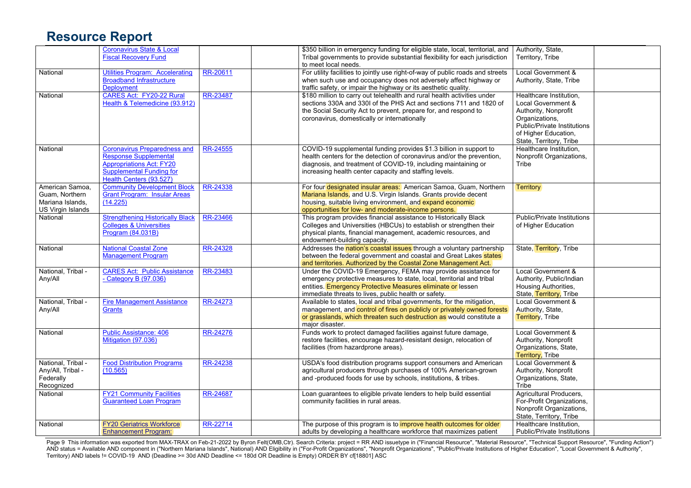|                    | <b>Coronavirus State &amp; Local</b>                            |          | \$350 billion in emergency funding for eligible state, local, territorial, and                                                            | Authority, State,                                             |  |
|--------------------|-----------------------------------------------------------------|----------|-------------------------------------------------------------------------------------------------------------------------------------------|---------------------------------------------------------------|--|
|                    | <b>Fiscal Recovery Fund</b>                                     |          | Tribal governments to provide substantial flexibility for each jurisdiction                                                               | Territory, Tribe                                              |  |
|                    |                                                                 |          | to meet local needs.                                                                                                                      |                                                               |  |
| National           | <b>Utilities Program: Accelerating</b>                          | RR-20611 | For utility facilities to jointly use right-of-way of public roads and streets                                                            | Local Government &                                            |  |
|                    | <b>Broadband Infrastructure</b>                                 |          | when such use and occupancy does not adversely affect highway or                                                                          | Authority, State, Tribe                                       |  |
|                    | <b>Deployment</b>                                               |          | traffic safety, or impair the highway or its aesthetic quality.                                                                           |                                                               |  |
| National           | CARES Act: FY20-22 Rural                                        | RR-23487 | \$180 million to carry out telehealth and rural health activities under                                                                   | Healthcare Institution,                                       |  |
|                    |                                                                 |          |                                                                                                                                           |                                                               |  |
|                    | Health & Telemedicine (93.912)                                  |          | sections 330A and 330I of the PHS Act and sections 711 and 1820 of                                                                        | Local Government &                                            |  |
|                    |                                                                 |          | the Social Security Act to prevent, prepare for, and respond to                                                                           | Authority, Nonprofit                                          |  |
|                    |                                                                 |          | coronavirus, domestically or internationally                                                                                              | Organizations,                                                |  |
|                    |                                                                 |          |                                                                                                                                           | Public/Private Institutions                                   |  |
|                    |                                                                 |          |                                                                                                                                           | of Higher Education,                                          |  |
|                    |                                                                 |          |                                                                                                                                           | State, Territory, Tribe                                       |  |
| National           | <b>Coronavirus Preparedness and</b>                             | RR-24555 | COVID-19 supplemental funding provides \$1.3 billion in support to                                                                        | Healthcare Institution,                                       |  |
|                    | Response Supplemental                                           |          | health centers for the detection of coronavirus and/or the prevention,                                                                    | Nonprofit Organizations,                                      |  |
|                    | <b>Appropriations Act: FY20</b>                                 |          |                                                                                                                                           | Tribe                                                         |  |
|                    | <b>Supplemental Funding for</b>                                 |          | diagnosis, and treatment of COVID-19, including maintaining or                                                                            |                                                               |  |
|                    |                                                                 |          | increasing health center capacity and staffing levels.                                                                                    |                                                               |  |
|                    | Health Centers (93.527)                                         |          |                                                                                                                                           |                                                               |  |
| American Samoa.    | <b>Community Development Block</b>                              | RR-24338 | For four designated insular areas: American Samoa, Guam, Northern                                                                         | <b>Territory</b>                                              |  |
| Guam, Northern     | <b>Grant Program: Insular Areas</b>                             |          | Mariana Islands, and U.S. Virgin Islands. Grants provide decent                                                                           |                                                               |  |
| Mariana Islands.   | (14.225)                                                        |          | housing, suitable living environment, and expand economic                                                                                 |                                                               |  |
| US Virgin Islands  |                                                                 |          | opportunities for low- and moderate-income persons.                                                                                       |                                                               |  |
| National           | <b>Strengthening Historically Black</b>                         | RR-23466 | This program provides financial assistance to Historically Black                                                                          | <b>Public/Private Institutions</b>                            |  |
|                    | <b>Colleges &amp; Universities</b>                              |          | Colleges and Universities (HBCUs) to establish or strengthen their                                                                        | of Higher Education                                           |  |
|                    | Program (84.031B)                                               |          | physical plants, financial management, academic resources, and                                                                            |                                                               |  |
|                    |                                                                 |          | endowment-building capacity.                                                                                                              |                                                               |  |
|                    |                                                                 |          |                                                                                                                                           |                                                               |  |
| National           | <b>National Coastal Zone</b>                                    | RR-24328 | Addresses the nation's coastal issues through a voluntary partnership                                                                     | State, Territory, Tribe                                       |  |
|                    | <b>Management Program</b>                                       |          | between the federal government and coastal and Great Lakes states                                                                         |                                                               |  |
|                    |                                                                 |          | and territories. Authorized by the Coastal Zone Management Act.                                                                           |                                                               |  |
| National. Tribal - | <b>CARES Act: Public Assistance</b>                             | RR-23483 | Under the COVID-19 Emergency, FEMA may provide assistance for                                                                             | Local Government &                                            |  |
| Any/All            | - Category B (97.036)                                           |          | emergency protective measures to state, local, territorial and tribal                                                                     | Authority, Public/Indian                                      |  |
|                    |                                                                 |          | entities. Emergency Protective Measures eliminate or lessen                                                                               | Housing Authorities,                                          |  |
|                    |                                                                 |          | immediate threats to lives, public health or safety.                                                                                      | State, Territory, Tribe                                       |  |
| National, Tribal - | <b>Fire Management Assistance</b>                               | RR-24273 | Available to states, local and tribal governments, for the mitigation,                                                                    | <b>Local Government &amp;</b>                                 |  |
| Any/All            | <b>Grants</b>                                                   |          | management, and control of fires on publicly or privately owned forests                                                                   | Authority, State,                                             |  |
|                    |                                                                 |          | or grasslands, which threaten such destruction as would constitute a                                                                      | Territory, Tribe                                              |  |
|                    |                                                                 |          |                                                                                                                                           |                                                               |  |
|                    |                                                                 |          | major disaster.                                                                                                                           |                                                               |  |
| National           | <b>Public Assistance: 406</b>                                   | RR-24276 | Funds work to protect damaged facilities against future damage,                                                                           | Local Government &                                            |  |
|                    | Mitigation (97.036)                                             |          | restore facilities, encourage hazard-resistant design, relocation of                                                                      | Authority, Nonprofit                                          |  |
|                    |                                                                 |          | facilities (from hazardprone areas).                                                                                                      | Organizations, State,                                         |  |
|                    |                                                                 |          |                                                                                                                                           | <b>Territory, Tribe</b>                                       |  |
| National, Tribal - | <b>Food Distribution Programs</b>                               | RR-24238 | USDA's food distribution programs support consumers and American                                                                          | Local Government &                                            |  |
| Any/All, Tribal -  | (10.565)                                                        |          | agricultural producers through purchases of 100% American-grown                                                                           | Authority, Nonprofit                                          |  |
| Federally          |                                                                 |          | and -produced foods for use by schools, institutions, & tribes.                                                                           | Organizations, State,                                         |  |
|                    |                                                                 |          |                                                                                                                                           |                                                               |  |
|                    |                                                                 |          |                                                                                                                                           |                                                               |  |
| Recognized         |                                                                 |          |                                                                                                                                           | Tribe                                                         |  |
| National           | <b>FY21 Community Facilities</b>                                | RR-24687 | Loan guarantees to eligible private lenders to help build essential                                                                       | Agricultural Producers,                                       |  |
|                    | <b>Guaranteed Loan Program</b>                                  |          | community facilities in rural areas.                                                                                                      | For-Profit Organizations,                                     |  |
|                    |                                                                 |          |                                                                                                                                           | Nonprofit Organizations,                                      |  |
|                    |                                                                 |          |                                                                                                                                           | State, Territory, Tribe                                       |  |
| National           | <b>FY20 Geriatrics Workforce</b><br><b>Enhancement Program:</b> | RR-22714 | The purpose of this program is to improve health outcomes for older<br>adults by developing a healthcare workforce that maximizes patient | Healthcare Institution,<br><b>Public/Private Institutions</b> |  |

Page 9 This information was exported from MAX-TRAX on Feb-21-2022 by Byron Felt(OMB,Ctr). Search Criteria: project = RR AND issuetype in ("Financial Resource", "Material Resource", "Technical Support Resource", "Funding Ac AND status = Available AND component in ("Northern Mariana Islands", National) AND Eligibility in ("For-Profit Organizations", "Nonprofit Organizations", "Public/Private Institutions of Higher Education", "Local Government Territory) AND labels != COVID-19 AND (Deadline >= 30d AND Deadline <= 180d OR Deadline is Empty) ORDER BY cf[18801] ASC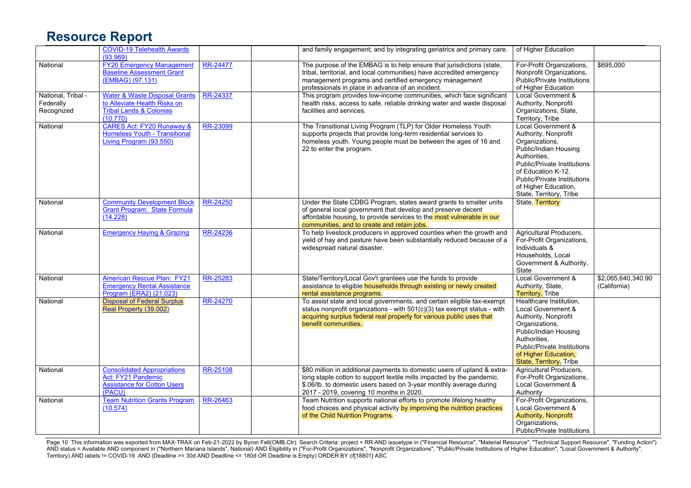|                                               | <b>COVID-19 Telehealth Awards</b><br>(93.969)                                                                              |          | and family engagement; and by integrating geriatrics and primary care.                                                                                                                                                                                              | of Higher Education                                                                                                                                                                                                                                 |                                    |
|-----------------------------------------------|----------------------------------------------------------------------------------------------------------------------------|----------|---------------------------------------------------------------------------------------------------------------------------------------------------------------------------------------------------------------------------------------------------------------------|-----------------------------------------------------------------------------------------------------------------------------------------------------------------------------------------------------------------------------------------------------|------------------------------------|
| National                                      | <b>FY20 Emergency Management</b><br><b>Baseline Assessment Grant</b><br>(EMBAG) (97.131)                                   | RR-24477 | The purpose of the EMBAG is to help ensure that jurisdictions (state,<br>tribal, territorial, and local communities) have accredited emergency<br>management programs and certified emergency management<br>professionals in place in advance of an incident.       | For-Profit Organizations,<br>Nonprofit Organizations,<br>Public/Private Institutions<br>of Higher Education                                                                                                                                         | \$695,000                          |
| National, Tribal -<br>Federally<br>Recognized | <b>Water &amp; Waste Disposal Grants</b><br>to Alleviate Health Risks on<br><b>Tribal Lands &amp; Colonias</b><br>(10.770) | RR-24337 | This program provides low-income communities, which face significant<br>health risks, access to safe, reliable drinking water and waste disposal<br>facilities and services.                                                                                        | Local Government &<br>Authority, Nonprofit<br>Organizations, State,<br>Territory, Tribe                                                                                                                                                             |                                    |
| National                                      | <b>CARES Act: FY20 Runaway &amp;</b><br>Homeless Youth - Transitional<br>Living Program (93.550)                           | RR-23099 | The Transitional Living Program (TLP) for Older Homeless Youth<br>supports projects that provide long-term residential services to<br>homeless youth. Young people must be between the ages of 16 and<br>22 to enter the program.                                   | Local Government &<br>Authority, Nonprofit<br>Organizations,<br>Public/Indian Housing<br>Authorities,<br>Public/Private Institutions<br>of Education K-12,<br><b>Public/Private Institutions</b><br>of Higher Education,<br>State, Territory, Tribe |                                    |
| National                                      | <b>Community Development Block</b><br>Grant Program: State Formula<br>(14.228)                                             | RR-24250 | Under the State CDBG Program, states award grants to smaller units<br>of general local government that develop and preserve decent<br>affordable housing, to provide services to the most vulnerable in our<br>communities, and to create and retain jobs.          | <b>State, Territory</b>                                                                                                                                                                                                                             |                                    |
| National                                      | <b>Emergency Haying &amp; Grazing</b>                                                                                      | RR-24236 | To help livestock producers in approved counties when the growth and<br>yield of hay and pasture have been substantially reduced because of a<br>widespread natural disaster.                                                                                       | Agricultural Producers,<br>For-Profit Organizations,<br>Individuals &<br>Households, Local<br>Government & Authority,<br>State                                                                                                                      |                                    |
| National                                      | <b>American Rescue Plan: FY21</b><br><b>Emergency Rental Assistance</b><br>Program (ERA2) (21.023)                         | RR-25283 | State/Territory/Local Gov't grantees use the funds to provide<br>assistance to eligible households through existing or newly created<br>rental assistance programs.                                                                                                 | Local Government &<br>Authority, State,<br><b>Territory, Tribe</b>                                                                                                                                                                                  | \$2,065,640,340.90<br>(California) |
| National                                      | <b>Disposal of Federal Surplus</b><br>Real Property (39.002)                                                               | RR-24270 | To assist state and local governments, and certain eligible tax-exempt<br>status nonprofit organizations - with 501(c)(3) tax exempt status - with<br>acquiring surplus federal real property for various public uses that<br>benefit communities.                  | Healthcare Institution,<br>Local Government &<br>Authority, Nonprofit<br>Organizations,<br>Public/Indian Housing<br>Authorities,<br>Public/Private Institutions<br>of Higher Education,<br>State, Territory, Tribe                                  |                                    |
| National                                      | <b>Consolidated Appropriations</b><br>Act: FY21 Pandemic<br><b>Assistance for Cotton Users</b><br>(PACU)                   | RR-25108 | \$80 million in additional payments to domestic users of upland & extra-<br>long staple cotton to support textile mills impacted by the pandemic.<br>\$.06/lb. to domestic users based on 3-year monthly average during<br>2017 - 2019, covering 10 months in 2020. | Agricultural Producers,<br>For-Profit Organizations,<br>Local Government &<br>Authority                                                                                                                                                             |                                    |
| National                                      | <b>Team Nutrition Grants Program</b><br>(10.574)                                                                           | RR-26463 | Team Nutrition supports national efforts to promote lifelong healthy<br>food choices and physical activity by improving the nutrition practices<br>of the Child Nutrition Programs.                                                                                 | For-Profit Organizations,<br>Local Government &<br><b>Authority, Nonprofit</b><br>Organizations,<br><b>Public/Private Institutions</b>                                                                                                              |                                    |

Page 10 This information was exported from MAX-TRAX on Feb-21-2022 by Byron Felt(OMB,Ctr). Search Criteria: project = RR AND issuetype in ("Financial Resource", "Material Resource", "Technical Support Resource", "Funding A AND status = Available AND component in ("Northern Mariana Islands", National) AND Eligibility in ("For-Profit Organizations", "Nonprofit Organizations", "Public/Private Institutions of Higher Education", "Local Government Territory) AND labels != COVID-19 AND (Deadline >= 30d AND Deadline <= 180d OR Deadline is Empty) ORDER BY cf[18801] ASC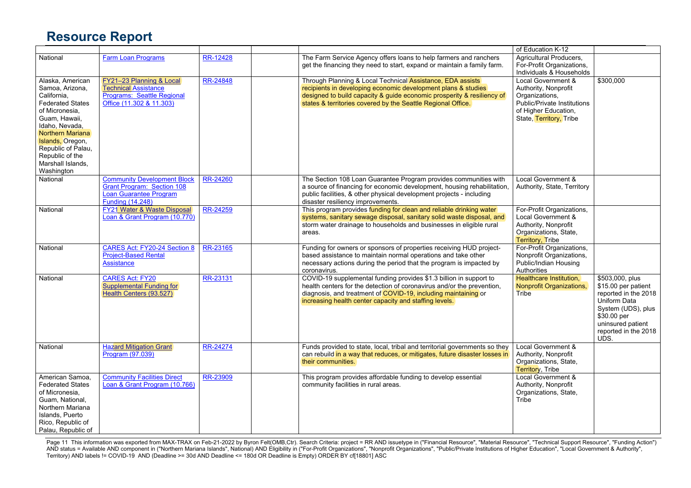|                                                                                                                                                                                                                                                        |                                                                                                                              |          |                                                                                                                                                                                                                                                                          | of Education K-12                                                                                                                              |                                                                                                                                                                           |
|--------------------------------------------------------------------------------------------------------------------------------------------------------------------------------------------------------------------------------------------------------|------------------------------------------------------------------------------------------------------------------------------|----------|--------------------------------------------------------------------------------------------------------------------------------------------------------------------------------------------------------------------------------------------------------------------------|------------------------------------------------------------------------------------------------------------------------------------------------|---------------------------------------------------------------------------------------------------------------------------------------------------------------------------|
| National                                                                                                                                                                                                                                               | <b>Farm Loan Programs</b>                                                                                                    | RR-12428 | The Farm Service Agency offers loans to help farmers and ranchers<br>get the financing they need to start, expand or maintain a family farm.                                                                                                                             | Agricultural Producers,<br>For-Profit Organizations,<br>Individuals & Households                                                               |                                                                                                                                                                           |
| Alaska, American<br>Samoa, Arizona,<br>California,<br><b>Federated States</b><br>of Micronesia.<br>Guam, Hawaii,<br>Idaho. Nevada.<br>Northern Mariana<br>Islands, Oregon,<br>Republic of Palau,<br>Republic of the<br>Marshall Islands,<br>Washington | FY21-23 Planning & Local<br><b>Technical Assistance</b><br>Programs: Seattle Regional<br>Office (11.302 & 11.303)            | RR-24848 | Through Planning & Local Technical Assistance, EDA assists<br>recipients in developing economic development plans & studies<br>designed to build capacity & guide economic prosperity & resiliency of<br>states & territories covered by the Seattle Regional Office.    | Local Government &<br>Authority, Nonprofit<br>Organizations,<br>Public/Private Institutions<br>of Higher Education,<br>State, Territory, Tribe | \$300,000                                                                                                                                                                 |
| National                                                                                                                                                                                                                                               | <b>Community Development Block</b><br>Grant Program: Section 108<br><b>Loan Guarantee Program</b><br><b>Funding (14.248)</b> | RR-24260 | The Section 108 Loan Guarantee Program provides communities with<br>a source of financing for economic development, housing rehabilitation,<br>public facilities, & other physical development projects - including<br>disaster resiliency improvements.                 | Local Government &<br>Authority, State, Territory                                                                                              |                                                                                                                                                                           |
| National                                                                                                                                                                                                                                               | FY21 Water & Waste Disposal<br>Loan & Grant Program (10.770)                                                                 | RR-24259 | This program provides funding for clean and reliable drinking water<br>systems, sanitary sewage disposal, sanitary solid waste disposal, and<br>storm water drainage to households and businesses in eligible rural<br>areas.                                            | For-Profit Organizations,<br>Local Government &<br>Authority, Nonprofit<br>Organizations, State,<br><b>Territory, Tribe</b>                    |                                                                                                                                                                           |
| National                                                                                                                                                                                                                                               | CARES Act: FY20-24 Section 8<br><b>Project-Based Rental</b><br>Assistance                                                    | RR-23165 | Funding for owners or sponsors of properties receiving HUD project-<br>based assistance to maintain normal operations and take other<br>necessary actions during the period that the program is impacted by<br>coronavirus.                                              | For-Profit Organizations,<br>Nonprofit Organizations,<br>Public/Indian Housing<br>Authorities                                                  |                                                                                                                                                                           |
| National                                                                                                                                                                                                                                               | <b>CARES Act: FY20</b><br><b>Supplemental Funding for</b><br>Health Centers (93.527)                                         | RR-23131 | COVID-19 supplemental funding provides \$1.3 billion in support to<br>health centers for the detection of coronavirus and/or the prevention,<br>diagnosis, and treatment of COVID-19, including maintaining or<br>increasing health center capacity and staffing levels. | Healthcare Institution,<br><b>Nonprofit Organizations,</b><br><b>Tribe</b>                                                                     | \$503,000, plus<br>\$15.00 per patient<br>reported in the 2018<br>Uniform Data<br>System (UDS), plus<br>$$30.00$ per<br>uninsured patient<br>reported in the 2018<br>UDS. |
| National                                                                                                                                                                                                                                               | <b>Hazard Mitigation Grant</b><br>Program (97.039)                                                                           | RR-24274 | Funds provided to state, local, tribal and territorial governments so they<br>can rebuild in a way that reduces, or mitigates, future disaster losses in<br>their communities.                                                                                           | Local Government &<br>Authority, Nonprofit<br>Organizations, State,<br>Territory, Tribe                                                        |                                                                                                                                                                           |
| American Samoa,<br><b>Federated States</b><br>of Micronesia,<br>Guam, National,<br>Northern Mariana<br>Islands, Puerto<br>Rico, Republic of<br>Palau, Republic of                                                                                      | <b>Community Facilities Direct</b><br>Loan & Grant Program (10.766)                                                          | RR-23909 | This program provides affordable funding to develop essential<br>community facilities in rural areas.                                                                                                                                                                    | Local Government &<br>Authority, Nonprofit<br>Organizations, State,<br>Tribe                                                                   |                                                                                                                                                                           |

Page 11 This information was exported from MAX-TRAX on Feb-21-2022 by Byron Felt(OMB,Ctr). Search Criteria: project = RR AND issuetype in ("Financial Resource", "Material Resource", "Technical Support Resource", "Funding A AND status = Available AND component in ("Northern Mariana Islands", National) AND Eligibility in ("For-Profit Organizations", "Nonprofit Organizations", "Public/Private Institutions of Higher Education", "Local Government Territory) AND labels != COVID-19 AND (Deadline >= 30d AND Deadline <= 180d OR Deadline is Empty) ORDER BY cf[18801] ASC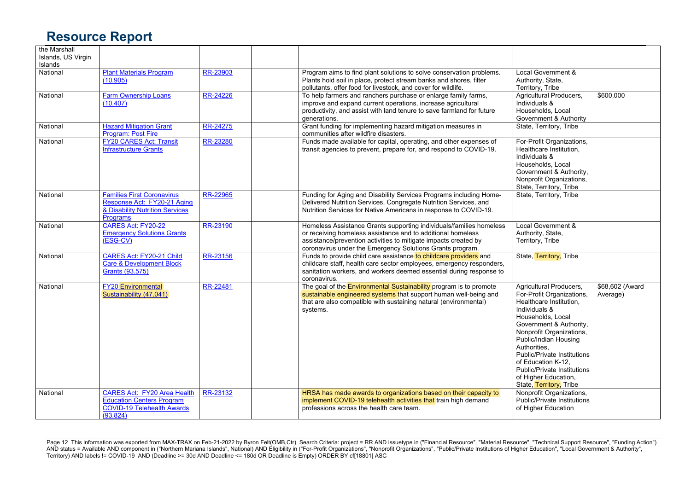| the Marshall<br>Islands, US Virgin<br>Islands |                                                                                                                         |          |                                                                                                                                                                                                                                                                    |                                                                                                                                                                                                                                                                                                                                                                            |                             |
|-----------------------------------------------|-------------------------------------------------------------------------------------------------------------------------|----------|--------------------------------------------------------------------------------------------------------------------------------------------------------------------------------------------------------------------------------------------------------------------|----------------------------------------------------------------------------------------------------------------------------------------------------------------------------------------------------------------------------------------------------------------------------------------------------------------------------------------------------------------------------|-----------------------------|
| National                                      | <b>Plant Materials Program</b><br>(10.905)                                                                              | RR-23903 | Program aims to find plant solutions to solve conservation problems.<br>Plants hold soil in place, protect stream banks and shores, filter<br>pollutants, offer food for livestock, and cover for wildlife.                                                        | Local Government &<br>Authority, State,<br>Territory, Tribe                                                                                                                                                                                                                                                                                                                |                             |
| National                                      | <b>Farm Ownership Loans</b><br>(10.407)                                                                                 | RR-24226 | To help farmers and ranchers purchase or enlarge family farms,<br>improve and expand current operations, increase agricultural<br>productivity, and assist with land tenure to save farmland for future<br>generations.                                            | Agricultural Producers,<br>Individuals &<br>Households, Local<br>Government & Authority                                                                                                                                                                                                                                                                                    | \$600,000                   |
| National                                      | <b>Hazard Mitigation Grant</b><br><b>Program: Post Fire</b>                                                             | RR-24275 | Grant funding for implementing hazard mitigation measures in<br>communities after wildfire disasters.                                                                                                                                                              | State, Territory, Tribe                                                                                                                                                                                                                                                                                                                                                    |                             |
| National                                      | <b>FY20 CARES Act: Transit</b><br><b>Infrastructure Grants</b>                                                          | RR-23280 | Funds made available for capital, operating, and other expenses of<br>transit agencies to prevent, prepare for, and respond to COVID-19.                                                                                                                           | For-Profit Organizations,<br>Healthcare Institution.<br>Individuals &<br>Households, Local<br>Government & Authority,<br>Nonprofit Organizations,<br>State, Territory, Tribe                                                                                                                                                                                               |                             |
| National                                      | <b>Families First Coronavirus</b><br>Response Act: FY20-21 Aging<br>& Disability Nutrition Services<br><b>Programs</b>  | RR-22965 | Funding for Aging and Disability Services Programs including Home-<br>Delivered Nutrition Services, Congregate Nutrition Services, and<br>Nutrition Services for Native Americans in response to COVID-19.                                                         | State, Territory, Tribe                                                                                                                                                                                                                                                                                                                                                    |                             |
| National                                      | CARES Act: FY20-22<br><b>Emergency Solutions Grants</b><br>(ESG-CV)                                                     | RR-23190 | Homeless Assistance Grants supporting individuals/families homeless<br>or receiving homeless assistance and to additional homeless<br>assistance/prevention activities to mitigate impacts created by<br>coronavirus under the Emergency Solutions Grants program. | Local Government &<br>Authority, State,<br>Territory, Tribe                                                                                                                                                                                                                                                                                                                |                             |
| National                                      | <b>CARES Act: FY20-21 Child</b><br>Care & Development Block<br>Grants (93.575)                                          | RR-23156 | Funds to provide child care assistance to childcare providers and<br>childcare staff, health care sector employees, emergency responders,<br>sanitation workers, and workers deemed essential during response to<br>coronavirus.                                   | State, Territory, Tribe                                                                                                                                                                                                                                                                                                                                                    |                             |
| National                                      | <b>FY20</b> Environmental<br>Sustainability (47.041)                                                                    | RR-22481 | The goal of the <b>Environmental Sustainability</b> program is to promote<br>sustainable engineered systems that support human well-being and<br>that are also compatible with sustaining natural (environmental)<br>systems.                                      | Agricultural Producers,<br>For-Profit Organizations,<br>Healthcare Institution.<br>Individuals &<br>Households, Local<br>Government & Authority,<br>Nonprofit Organizations,<br>Public/Indian Housing<br>Authorities.<br><b>Public/Private Institutions</b><br>of Education K-12.<br><b>Public/Private Institutions</b><br>of Higher Education,<br>State, Territory, Tribe | \$68,602 (Award<br>Average) |
| National                                      | <b>CARES Act: FY20 Area Health</b><br><b>Education Centers Program</b><br><b>COVID-19 Telehealth Awards</b><br>(93.824) | RR-23132 | HRSA has made awards to organizations based on their capacity to<br>implement COVID-19 telehealth activities that train high demand<br>professions across the health care team.                                                                                    | Nonprofit Organizations,<br>Public/Private Institutions<br>of Higher Education                                                                                                                                                                                                                                                                                             |                             |

Page 12 This information was exported from MAX-TRAX on Feb-21-2022 by Byron Felt(OMB,Ctr). Search Criteria: project = RR AND issuetype in ("Financial Resource", "Material Resource", "Technical Support Resource", "Funding A AND status = Available AND component in ("Northern Mariana Islands", National) AND Eligibility in ("For-Profit Organizations", "Nonprofit Organizations", "Public/Private Institutions of Higher Education", "Local Government Territory) AND labels != COVID-19 AND (Deadline >= 30d AND Deadline <= 180d OR Deadline is Empty) ORDER BY cf[18801] ASC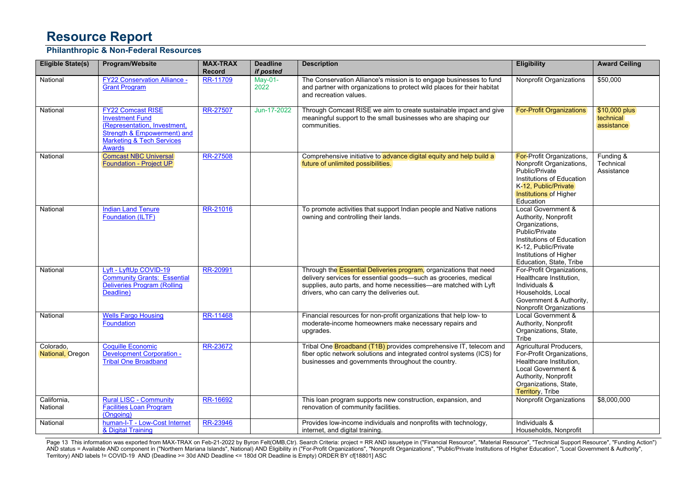#### **Philanthropic & Non-Federal Resources**

| <b>Eligible State(s)</b>      | Program/Website                                                                                                                                                            | <b>MAX-TRAX</b><br><b>Record</b> | <b>Deadline</b><br>if posted | <b>Description</b>                                                                                                                                                                                                                                      | <b>Eligibility</b>                                                                                                                                                                       | <b>Award Ceiling</b>                     |
|-------------------------------|----------------------------------------------------------------------------------------------------------------------------------------------------------------------------|----------------------------------|------------------------------|---------------------------------------------------------------------------------------------------------------------------------------------------------------------------------------------------------------------------------------------------------|------------------------------------------------------------------------------------------------------------------------------------------------------------------------------------------|------------------------------------------|
| National                      | <b>FY22 Conservation Alliance -</b><br><b>Grant Program</b>                                                                                                                | RR-11709                         | May-01-<br>2022              | The Conservation Alliance's mission is to engage businesses to fund<br>and partner with organizations to protect wild places for their habitat<br>and recreation values.                                                                                | Nonprofit Organizations                                                                                                                                                                  | \$50,000                                 |
| National                      | <b>FY22 Comcast RISE</b><br><b>Investment Fund</b><br>(Representation, Investment,<br>Strength & Empowerment) and<br><b>Marketing &amp; Tech Services</b><br><b>Awards</b> | RR-27507                         | Jun-17-2022                  | Through Comcast RISE we aim to create sustainable impact and give<br>meaningful support to the small businesses who are shaping our<br>communities.                                                                                                     | <b>For-Profit Organizations</b>                                                                                                                                                          | \$10,000 plus<br>technical<br>assistance |
| National                      | <b>Comcast NBC Universal</b><br>Foundation - Project UP                                                                                                                    | RR-27508                         |                              | Comprehensive initiative to advance digital equity and help build a<br>future of unlimited possibilities.                                                                                                                                               | For-Profit Organizations,<br>Nonprofit Organizations,<br>Public/Private<br>Institutions of Education<br>K-12, Public/Private<br><b>Institutions of Higher</b><br>Education               | Funding &<br>Technical<br>Assistance     |
| National                      | <b>Indian Land Tenure</b><br>Foundation (ILTF)                                                                                                                             | RR-21016                         |                              | To promote activities that support Indian people and Native nations<br>owning and controlling their lands.                                                                                                                                              | Local Government &<br>Authority, Nonprofit<br>Organizations,<br>Public/Private<br>Institutions of Education<br>K-12, Public/Private<br>Institutions of Higher<br>Education, State, Tribe |                                          |
| National                      | Lyft - LyftUp COVID-19<br><b>Community Grants: Essential</b><br>Deliveries Program (Rolling<br>Deadline)                                                                   | RR-20991                         |                              | Through the Essential Deliveries program, organizations that need<br>delivery services for essential goods-such as groceries, medical<br>supplies, auto parts, and home necessities-are matched with Lyft<br>drivers, who can carry the deliveries out. | For-Profit Organizations,<br>Healthcare Institution,<br>Individuals &<br>Households, Local<br>Government & Authority,<br><b>Nonprofit Organizations</b>                                  |                                          |
| National                      | <b>Wells Fargo Housing</b><br>Foundation                                                                                                                                   | RR-11468                         |                              | Financial resources for non-profit organizations that help low- to<br>moderate-income homeowners make necessary repairs and<br>upgrades.                                                                                                                | Local Government &<br>Authority, Nonprofit<br>Organizations, State,<br>Tribe                                                                                                             |                                          |
| Colorado.<br>National, Oregon | <b>Coquille Economic</b><br><b>Development Corporation -</b><br><b>Tribal One Broadband</b>                                                                                | RR-23672                         |                              | Tribal One Broadband (T1B) provides comprehensive IT, telecom and<br>fiber optic network solutions and integrated control systems (ICS) for<br>businesses and governments throughout the country.                                                       | Agricultural Producers,<br>For-Profit Organizations,<br>Healthcare Institution,<br>Local Government &<br>Authority, Nonprofit<br>Organizations, State,<br><b>Territory, Tribe</b>        |                                          |
| California,<br>National       | <b>Rural LISC - Community</b><br><b>Facilities Loan Program</b><br>(Ongoing)                                                                                               | RR-16692                         |                              | This loan program supports new construction, expansion, and<br>renovation of community facilities.                                                                                                                                                      | <b>Nonprofit Organizations</b>                                                                                                                                                           | \$8,000,000                              |
| National                      | human-I-T - Low-Cost Internet<br>& Digital Training                                                                                                                        | RR-23946                         |                              | Provides low-income individuals and nonprofits with technology,<br>internet, and digital training.                                                                                                                                                      | Individuals &<br>Households, Nonprofit                                                                                                                                                   |                                          |

Page 13 This information was exported from MAX-TRAX on Feb-21-2022 by Byron Felt(OMB,Ctr). Search Criteria: project = RR AND issuetype in ("Financial Resource", "Material Resource", "Technical Support Resource", "Funding A AND status = Available AND component in ("Northern Mariana Islands", National) AND Eligibility in ("For-Profit Organizations", "Nonprofit Organizations", "Public/Private Institutions of Higher Education", "Local Government Territory) AND labels != COVID-19 AND (Deadline >= 30d AND Deadline <= 180d OR Deadline is Empty) ORDER BY cf[18801] ASC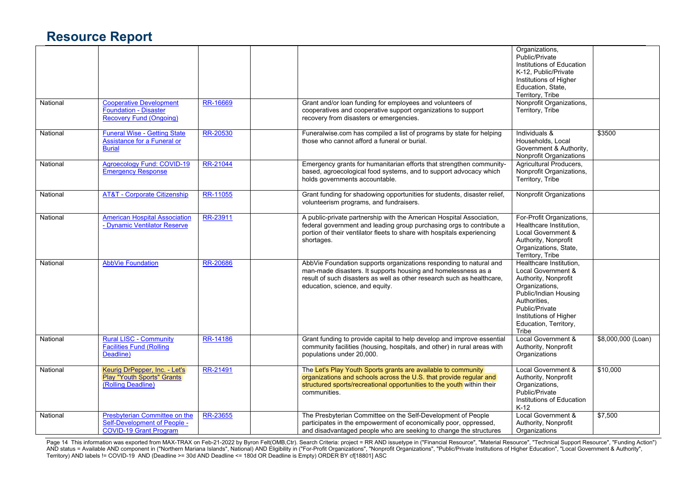|          |                                                                                                |                 |                                                                                                                                                                                                                                                  | Organizations,<br>Public/Private<br>Institutions of Education<br>K-12, Public/Private<br>Institutions of Higher<br>Education, State,<br>Territory, Tribe                                                       |                    |
|----------|------------------------------------------------------------------------------------------------|-----------------|--------------------------------------------------------------------------------------------------------------------------------------------------------------------------------------------------------------------------------------------------|----------------------------------------------------------------------------------------------------------------------------------------------------------------------------------------------------------------|--------------------|
| National | <b>Cooperative Development</b><br>Foundation - Disaster<br>Recovery Fund (Ongoing)             | RR-16669        | Grant and/or loan funding for employees and volunteers of<br>cooperatives and cooperative support organizations to support<br>recovery from disasters or emergencies.                                                                            | Nonprofit Organizations,<br>Territory, Tribe                                                                                                                                                                   |                    |
| National | <b>Funeral Wise - Getting State</b><br>Assistance for a Funeral or<br><b>Burial</b>            | RR-20530        | Funeralwise.com has compiled a list of programs by state for helping<br>those who cannot afford a funeral or burial.                                                                                                                             | Individuals &<br>Households, Local<br>Government & Authority,<br>Nonprofit Organizations                                                                                                                       | \$3500             |
| National | <b>Agroecology Fund: COVID-19</b><br><b>Emergency Response</b>                                 | RR-21044        | Emergency grants for humanitarian efforts that strengthen community-<br>based, agroecological food systems, and to support advocacy which<br>holds governments accountable.                                                                      | Agricultural Producers,<br>Nonprofit Organizations,<br>Territory, Tribe                                                                                                                                        |                    |
| National | <b>AT&amp;T - Corporate Citizenship</b>                                                        | RR-11055        | Grant funding for shadowing opportunities for students, disaster relief,<br>volunteerism programs, and fundraisers.                                                                                                                              | Nonprofit Organizations                                                                                                                                                                                        |                    |
| National | <b>American Hospital Association</b><br>- Dynamic Ventilator Reserve                           | RR-23911        | A public-private partnership with the American Hospital Association,<br>federal government and leading group purchasing orgs to contribute a<br>portion of their ventilator fleets to share with hospitals experiencing<br>shortages.            | For-Profit Organizations,<br>Healthcare Institution,<br>Local Government &<br>Authority, Nonprofit<br>Organizations, State,<br>Territory, Tribe                                                                |                    |
| National | <b>AbbVie Foundation</b>                                                                       | RR-20686        | AbbVie Foundation supports organizations responding to natural and<br>man-made disasters. It supports housing and homelessness as a<br>result of such disasters as well as other research such as healthcare,<br>education, science, and equity. | Healthcare Institution,<br>Local Government &<br>Authority, Nonprofit<br>Organizations,<br>Public/Indian Housing<br>Authorities.<br>Public/Private<br>Institutions of Higher<br>Education, Territory,<br>Tribe |                    |
| National | <b>Rural LISC - Community</b><br><b>Facilities Fund (Rolling</b><br>Deadline)                  | <b>RR-14186</b> | Grant funding to provide capital to help develop and improve essential<br>community facilities (housing, hospitals, and other) in rural areas with<br>populations under 20,000.                                                                  | Local Government &<br>Authority, Nonprofit<br>Organizations                                                                                                                                                    | \$8,000,000 (Loan) |
| National | Keurig DrPepper, Inc. - Let's<br><b>Play "Youth Sports" Grants</b><br>(Rolling Deadline)       | RR-21491        | The Let's Play Youth Sports grants are available to community<br>organizations and schools across the U.S. that provide regular and<br>structured sports/recreational opportunities to the youth within their<br>communities.                    | Local Government &<br>Authority, Nonprofit<br>Organizations,<br>Public/Private<br>Institutions of Education<br>$K-12$                                                                                          | \$10,000           |
| National | Presbyterian Committee on the<br>Self-Development of People -<br><b>COVID-19 Grant Program</b> | RR-23655        | The Presbyterian Committee on the Self-Development of People<br>participates in the empowerment of economically poor, oppressed,<br>and disadvantaged people who are seeking to change the structures                                            | Local Government &<br>Authority, Nonprofit<br>Organizations                                                                                                                                                    | \$7,500            |

Page 14 This information was exported from MAX-TRAX on Feb-21-2022 by Byron Felt(OMB,Ctr). Search Criteria: project = RR AND issuetype in ("Financial Resource", "Material Resource", "Technical Support Resource", "Funding A AND status = Available AND component in ("Northern Mariana Islands", National) AND Eligibility in ("For-Profit Organizations", "Nonprofit Organizations", "Public/Private Institutions of Higher Education", "Local Government Territory) AND labels != COVID-19 AND (Deadline >= 30d AND Deadline <= 180d OR Deadline is Empty) ORDER BY cf[18801] ASC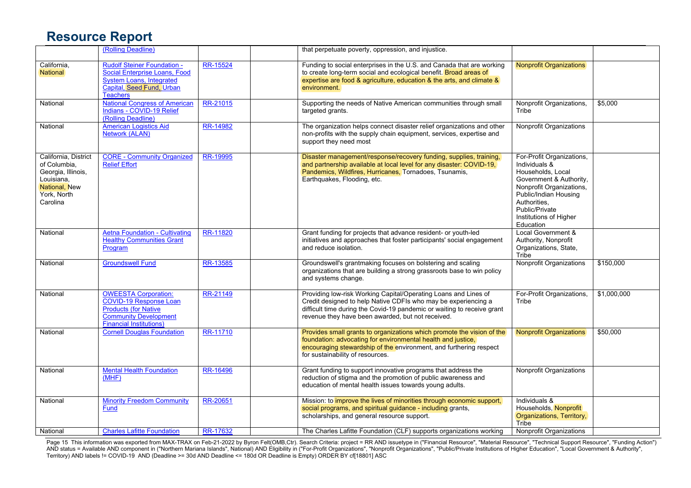|                                                                                                                      | (Rolling Deadline)                                                                                                                                            |                 | that perpetuate poverty, oppression, and injustice.                                                                                                                                                                                                               |                                                                                                                                                                                                                          |             |
|----------------------------------------------------------------------------------------------------------------------|---------------------------------------------------------------------------------------------------------------------------------------------------------------|-----------------|-------------------------------------------------------------------------------------------------------------------------------------------------------------------------------------------------------------------------------------------------------------------|--------------------------------------------------------------------------------------------------------------------------------------------------------------------------------------------------------------------------|-------------|
| California,<br>National                                                                                              | <b>Rudolf Steiner Foundation -</b><br><b>Social Enterprise Loans, Food</b><br><b>System Loans, Integrated</b><br>Capital, Seed Fund, Urban<br><b>Teachers</b> | <b>RR-15524</b> | Funding to social enterprises in the U.S. and Canada that are working<br>to create long-term social and ecological benefit. Broad areas of<br>expertise are food & agriculture, education & the arts, and climate &<br>environment.                               | <b>Nonprofit Organizations</b>                                                                                                                                                                                           |             |
| National                                                                                                             | <b>National Congress of American</b><br>Indians - COVID-19 Relief<br>(Rolling Deadline)                                                                       | RR-21015        | Supporting the needs of Native American communities through small<br>targeted grants.                                                                                                                                                                             | Nonprofit Organizations,<br>Tribe                                                                                                                                                                                        | \$5,000     |
| National                                                                                                             | <b>American Logistics Aid</b><br><b>Network (ALAN)</b>                                                                                                        | RR-14982        | The organization helps connect disaster relief organizations and other<br>non-profits with the supply chain equipment, services, expertise and<br>support they need most                                                                                          | Nonprofit Organizations                                                                                                                                                                                                  |             |
| California, District<br>of Columbia,<br>Georgia, Illinois,<br>Louisiana,<br>National, New<br>York, North<br>Carolina | <b>CORE - Community Organized</b><br><b>Relief Effort</b>                                                                                                     | RR-19995        | Disaster management/response/recovery funding, supplies, training,<br>and partnership available at local level for any disaster: COVID-19,<br>Pandemics, Wildfires, Hurricanes, Tornadoes, Tsunamis,<br>Earthquakes, Flooding, etc.                               | For-Profit Organizations,<br>Individuals &<br>Households, Local<br>Government & Authority,<br>Nonprofit Organizations,<br>Public/Indian Housing<br>Authorities.<br>Public/Private<br>Institutions of Higher<br>Education |             |
| National                                                                                                             | <b>Aetna Foundation - Cultivating</b><br><b>Healthy Communities Grant</b><br>Program                                                                          | RR-11820        | Grant funding for projects that advance resident- or youth-led<br>initiatives and approaches that foster participants' social engagement<br>and reduce isolation.                                                                                                 | Local Government &<br>Authority, Nonprofit<br>Organizations, State,<br>Tribe                                                                                                                                             |             |
| National                                                                                                             | <b>Groundswell Fund</b>                                                                                                                                       | RR-13585        | Groundswell's grantmaking focuses on bolstering and scaling<br>organizations that are building a strong grassroots base to win policy<br>and systems change.                                                                                                      | <b>Nonprofit Organizations</b>                                                                                                                                                                                           | \$150,000   |
| National                                                                                                             | <b>OWEESTA Corporation:</b><br>COVID-19 Response Loan<br><b>Products (for Native</b><br><b>Community Development</b><br><b>Financial Institutions)</b>        | RR-21149        | Providing low-risk Working Capital/Operating Loans and Lines of<br>Credit designed to help Native CDFIs who may be experiencing a<br>difficult time during the Covid-19 pandemic or waiting to receive grant<br>revenue they have been awarded, but not received. | For-Profit Organizations,<br>Tribe                                                                                                                                                                                       | \$1,000,000 |
| National                                                                                                             | <b>Cornell Douglas Foundation</b>                                                                                                                             | RR-11710        | Provides small grants to organizations which promote the vision of the<br>foundation: advocating for environmental health and justice,<br>encouraging stewardship of the environment, and furthering respect<br>for sustainability of resources.                  | <b>Nonprofit Organizations</b>                                                                                                                                                                                           | \$50,000    |
| National                                                                                                             | <b>Mental Health Foundation</b><br>(MHF)                                                                                                                      | RR-16496        | Grant funding to support innovative programs that address the<br>reduction of stigma and the promotion of public awareness and<br>education of mental health issues towards young adults.                                                                         | <b>Nonprofit Organizations</b>                                                                                                                                                                                           |             |
| National                                                                                                             | <b>Minority Freedom Community</b><br>Fund                                                                                                                     | RR-20651        | Mission: to <i>improve the lives of minorities through economic support,</i><br>social programs, and spiritual guidance - including grants,<br>scholarships, and general resource support.                                                                        | Individuals &<br>Households, Nonprofit<br>Organizations, Territory,<br>Tribe                                                                                                                                             |             |
| National                                                                                                             | <b>Charles Lafitte Foundation</b>                                                                                                                             | RR-17632        | The Charles Lafitte Foundation (CLF) supports organizations working                                                                                                                                                                                               | <b>Nonprofit Organizations</b>                                                                                                                                                                                           |             |

Page 15 This information was exported from MAX-TRAX on Feb-21-2022 by Byron Felt(OMB,Ctr). Search Criteria: project = RR AND issuetype in ("Financial Resource", "Material Resource", "Technical Support Resource", "Funding A AND status = Available AND component in ("Northern Mariana Islands", National) AND Eligibility in ("For-Profit Organizations", "Nonprofit Organizations", "Public/Private Institutions of Higher Education", "Local Government Territory) AND labels != COVID-19 AND (Deadline >= 30d AND Deadline <= 180d OR Deadline is Empty) ORDER BY cf[18801] ASC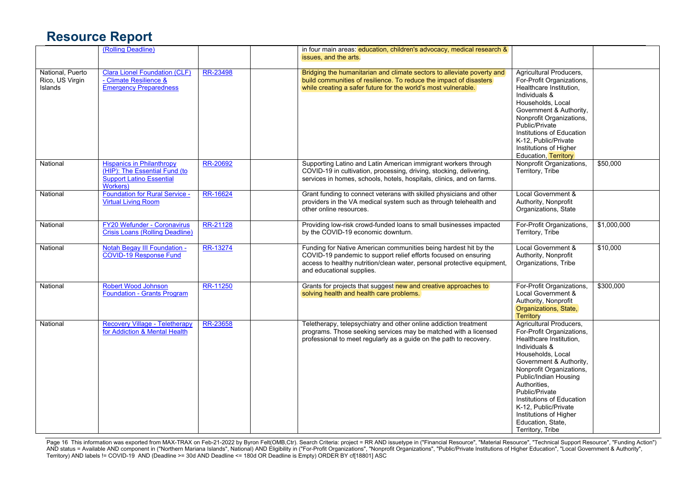|                                                | (Rolling Deadline)                                                                                               |          | in four main areas: education, children's advocacy, medical research &<br>issues, and the arts.                                                                                                                                             |                                                                                                                                                                                                                                                                                                                                                                 |             |
|------------------------------------------------|------------------------------------------------------------------------------------------------------------------|----------|---------------------------------------------------------------------------------------------------------------------------------------------------------------------------------------------------------------------------------------------|-----------------------------------------------------------------------------------------------------------------------------------------------------------------------------------------------------------------------------------------------------------------------------------------------------------------------------------------------------------------|-------------|
| National, Puerto<br>Rico, US Virgin<br>Islands | <b>Clara Lionel Foundation (CLF)</b><br>- Climate Resilience &<br><b>Emergency Preparedness</b>                  | RR-23498 | Bridging the humanitarian and climate sectors to alleviate poverty and<br>build communities of resilience. To reduce the impact of disasters<br>while creating a safer future for the world's most vulnerable.                              | Agricultural Producers,<br>For-Profit Organizations,<br>Healthcare Institution,<br>Individuals &<br>Households, Local<br>Government & Authority,<br>Nonprofit Organizations,<br>Public/Private<br>Institutions of Education<br>K-12, Public/Private<br>Institutions of Higher<br>Education, Territory                                                           |             |
| National                                       | <b>Hispanics in Philanthropy</b><br>(HIP): The Essential Fund (to<br><b>Support Latino Essential</b><br>Workers) | RR-20692 | Supporting Latino and Latin American immigrant workers through<br>COVID-19 in cultivation, processing, driving, stocking, delivering,<br>services in homes, schools, hotels, hospitals, clinics, and on farms.                              | Nonprofit Organizations,<br>Territory, Tribe                                                                                                                                                                                                                                                                                                                    | \$50,000    |
| National                                       | Foundation for Rural Service -<br><b>Virtual Living Room</b>                                                     | RR-16624 | Grant funding to connect veterans with skilled physicians and other<br>providers in the VA medical system such as through telehealth and<br>other online resources.                                                                         | Local Government &<br>Authority, Nonprofit<br>Organizations, State                                                                                                                                                                                                                                                                                              |             |
| National                                       | <b>FY20 Wefunder - Coronavirus</b><br>Crisis Loans (Rolling Deadline)                                            | RR-21128 | Providing low-risk crowd-funded loans to small businesses impacted<br>by the COVID-19 economic downturn.                                                                                                                                    | For-Profit Organizations,<br>Territory, Tribe                                                                                                                                                                                                                                                                                                                   | \$1,000,000 |
| National                                       | Notah Begay III Foundation -<br><b>COVID-19 Response Fund</b>                                                    | RR-13274 | Funding for Native American communities being hardest hit by the<br>COVID-19 pandemic to support relief efforts focused on ensuring<br>access to healthy nutrition/clean water, personal protective equipment,<br>and educational supplies. | Local Government &<br>Authority, Nonprofit<br>Organizations, Tribe                                                                                                                                                                                                                                                                                              | \$10,000    |
| National                                       | <b>Robert Wood Johnson</b><br>Foundation - Grants Program                                                        | RR-11250 | Grants for projects that suggest new and creative approaches to<br>solving health and health care problems.                                                                                                                                 | For-Profit Organizations,<br>Local Government &<br>Authority, Nonprofit<br>Organizations, State,<br><b>Territory</b>                                                                                                                                                                                                                                            | \$300,000   |
| National                                       | <b>Recovery Village - Teletherapy</b><br>for Addiction & Mental Health                                           | RR-23658 | Teletherapy, telepsychiatry and other online addiction treatment<br>programs. Those seeking services may be matched with a licensed<br>professional to meet regularly as a guide on the path to recovery.                                   | Agricultural Producers,<br>For-Profit Organizations,<br>Healthcare Institution,<br>Individuals &<br>Households, Local<br>Government & Authority,<br>Nonprofit Organizations,<br>Public/Indian Housing<br>Authorities.<br>Public/Private<br>Institutions of Education<br>K-12, Public/Private<br>Institutions of Higher<br>Education, State,<br>Territory, Tribe |             |

Page 16 This information was exported from MAX-TRAX on Feb-21-2022 by Byron Felt(OMB,Ctr). Search Criteria: project = RR AND issuetype in ("Financial Resource", "Material Resource", "Technical Support Resource", "Funding A AND status = Available AND component in ("Northern Mariana Islands", National) AND Eligibility in ("For-Profit Organizations", "Nonprofit Organizations", "Public/Private Institutions of Higher Education", "Local Government Territory) AND labels != COVID-19 AND (Deadline >= 30d AND Deadline <= 180d OR Deadline is Empty) ORDER BY cf[18801] ASC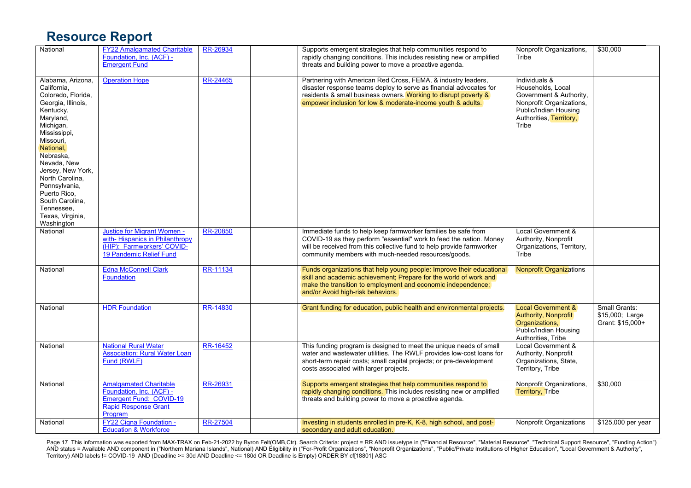| National                                                                                                                                                                                                                                                                                                                              | <b>FY22 Amalgamated Charitable</b><br>Foundation, Inc. (ACF) -<br><b>Emergent Fund</b>                                  | RR-26934        | Supports emergent strategies that help communities respond to<br>rapidly changing conditions. This includes resisting new or amplified<br>threats and building power to move a proactive agenda.                                                                      | Nonprofit Organizations,<br>Tribe                                                                                                                      | \$30,000                                             |
|---------------------------------------------------------------------------------------------------------------------------------------------------------------------------------------------------------------------------------------------------------------------------------------------------------------------------------------|-------------------------------------------------------------------------------------------------------------------------|-----------------|-----------------------------------------------------------------------------------------------------------------------------------------------------------------------------------------------------------------------------------------------------------------------|--------------------------------------------------------------------------------------------------------------------------------------------------------|------------------------------------------------------|
| Alabama, Arizona,<br>California,<br>Colorado, Florida,<br>Georgia, Illinois,<br>Kentucky,<br>Maryland,<br>Michigan,<br>Mississippi,<br>Missouri,<br>National,<br>Nebraska,<br>Nevada, New<br>Jersey, New York,<br>North Carolina,<br>Pennsylvania,<br>Puerto Rico.<br>South Carolina,<br>Tennessee,<br>Texas, Virginia,<br>Washington | <b>Operation Hope</b>                                                                                                   | RR-24465        | Partnering with American Red Cross, FEMA, & industry leaders,<br>disaster response teams deploy to serve as financial advocates for<br>residents & small business owners. Working to disrupt poverty &<br>empower inclusion for low & moderate-income youth & adults. | Individuals &<br>Households, Local<br>Government & Authority,<br>Nonprofit Organizations,<br>Public/Indian Housing<br>Authorities, Territory,<br>Tribe |                                                      |
| National                                                                                                                                                                                                                                                                                                                              | Justice for Migrant Women -<br>with-Hispanics in Philanthropy<br>(HIP): Farmworkers' COVID-<br>19 Pandemic Relief Fund  | RR-20850        | Immediate funds to help keep farmworker families be safe from<br>COVID-19 as they perform "essential" work to feed the nation. Money<br>will be received from this collective fund to help provide farmworker<br>community members with much-needed resources/goods.  | Local Government &<br>Authority, Nonprofit<br>Organizations, Territory,<br>Tribe                                                                       |                                                      |
| National                                                                                                                                                                                                                                                                                                                              | <b>Edna McConnell Clark</b><br><b>Foundation</b>                                                                        | RR-11134        | Funds organizations that help young people: Improve their educational<br>skill and academic achievement; Prepare for the world of work and<br>make the transition to employment and economic independence;<br>and/or Avoid high-risk behaviors.                       | <b>Nonprofit Organizations</b>                                                                                                                         |                                                      |
| National                                                                                                                                                                                                                                                                                                                              | <b>HDR Foundation</b>                                                                                                   | RR-14830        | Grant funding for education, public health and environmental projects.                                                                                                                                                                                                | <b>Local Government &amp;</b><br>Authority, Nonprofit<br>Organizations,<br><b>Public/Indian Housing</b><br>Authorities, Tribe                          | Small Grants:<br>\$15,000; Large<br>Grant: \$15,000+ |
| National                                                                                                                                                                                                                                                                                                                              | <b>National Rural Water</b><br><b>Association: Rural Water Loan</b><br>Fund (RWLF)                                      | RR-16452        | This funding program is designed to meet the unique needs of small<br>water and wastewater utilities. The RWLF provides low-cost loans for<br>short-term repair costs; small capital projects; or pre-development<br>costs associated with larger projects.           | Local Government &<br>Authority, Nonprofit<br>Organizations, State,<br>Territory, Tribe                                                                |                                                      |
| National                                                                                                                                                                                                                                                                                                                              | <b>Amalgamated Charitable</b><br>Foundation, Inc. (ACF) -<br>Emergent Fund: COVID-19<br>Rapid Response Grant<br>Program | RR-26931        | Supports emergent strategies that help communities respond to<br>rapidly changing conditions. This includes resisting new or amplified<br>threats and building power to move a proactive agenda.                                                                      | Nonprofit Organizations,<br><b>Territory, Tribe</b>                                                                                                    | \$30,000                                             |
| National                                                                                                                                                                                                                                                                                                                              | <b>FY22 Cigna Foundation -</b><br><b>Education &amp; Workforce</b>                                                      | <b>RR-27504</b> | Investing in students enrolled in pre-K, K-8, high school, and post-<br>secondary and adult education.                                                                                                                                                                | Nonprofit Organizations                                                                                                                                | \$125,000 per year                                   |

Page 17 This information was exported from MAX-TRAX on Feb-21-2022 by Byron Felt(OMB,Ctr). Search Criteria: project = RR AND issuetype in ("Financial Resource", "Material Resource", "Technical Support Resource", "Funding A AND status = Available AND component in ("Northern Mariana Islands", National) AND Eligibility in ("For-Profit Organizations", "Nonprofit Organizations", "Public/Private Institutions of Higher Education", "Local Government Territory) AND labels != COVID-19 AND (Deadline >= 30d AND Deadline <= 180d OR Deadline is Empty) ORDER BY cf[18801] ASC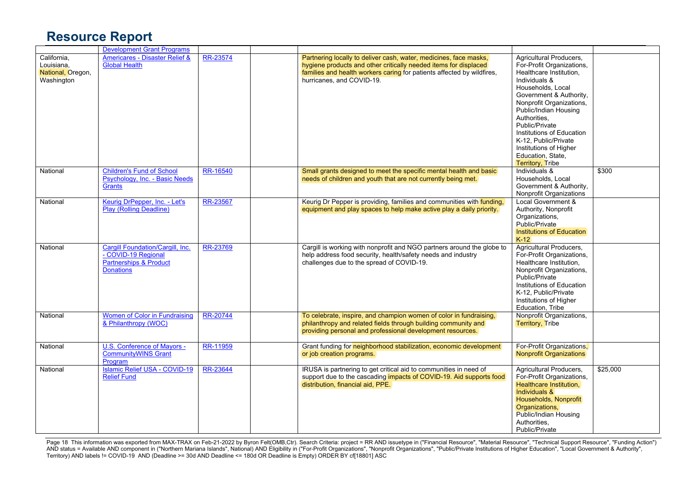|                                                              | <b>Development Grant Programs</b>                                                                                |          |                                                                                                                                                                                                                                              |                                                                                                                                                                                                                                                                                                                                                                        |          |
|--------------------------------------------------------------|------------------------------------------------------------------------------------------------------------------|----------|----------------------------------------------------------------------------------------------------------------------------------------------------------------------------------------------------------------------------------------------|------------------------------------------------------------------------------------------------------------------------------------------------------------------------------------------------------------------------------------------------------------------------------------------------------------------------------------------------------------------------|----------|
| California.<br>Louisiana,<br>National, Oregon,<br>Washington | Americares - Disaster Relief &<br><b>Global Health</b>                                                           | RR-23574 | Partnering locally to deliver cash, water, medicines, face masks,<br>hygiene products and other critically needed items for displaced<br>families and health workers caring for patients affected by wildfires,<br>hurricanes, and COVID-19. | Agricultural Producers,<br>For-Profit Organizations,<br>Healthcare Institution,<br>Individuals &<br>Households, Local<br>Government & Authority,<br>Nonprofit Organizations,<br>Public/Indian Housing<br>Authorities.<br>Public/Private<br>Institutions of Education<br>K-12. Public/Private<br>Institutions of Higher<br>Education, State,<br><b>Territory, Tribe</b> |          |
| National                                                     | <b>Children's Fund of School</b><br>Psychology, Inc. - Basic Needs<br><b>Grants</b>                              | RR-16540 | Small grants designed to meet the specific mental health and basic<br>needs of children and youth that are not currently being met.                                                                                                          | Individuals &<br>Households, Local<br>Government & Authority,<br>Nonprofit Organizations                                                                                                                                                                                                                                                                               | \$300    |
| National                                                     | Keurig DrPepper, Inc. - Let's<br><b>Play (Rolling Deadline)</b>                                                  | RR-23567 | Keurig Dr Pepper is providing, families and communities with funding,<br>equipment and play spaces to help make active play a daily priority.                                                                                                | Local Government &<br>Authority, Nonprofit<br>Organizations,<br>Public/Private<br>Institutions of Education<br>$K-12$                                                                                                                                                                                                                                                  |          |
| National                                                     | Cargill Foundation/Cargill, Inc.<br>- COVID-19 Regional<br><b>Partnerships &amp; Product</b><br><b>Donations</b> | RR-23769 | Cargill is working with nonprofit and NGO partners around the globe to<br>help address food security, health/safety needs and industry<br>challenges due to the spread of COVID-19.                                                          | Agricultural Producers,<br>For-Profit Organizations,<br>Healthcare Institution,<br>Nonprofit Organizations,<br>Public/Private<br>Institutions of Education<br>K-12, Public/Private<br>Institutions of Higher<br>Education, Tribe                                                                                                                                       |          |
| National                                                     | <b>Women of Color in Fundraising</b><br>& Philanthropy (WOC)                                                     | RR-20744 | To celebrate, inspire, and champion women of color in fundraising,<br>philanthropy and related fields through building community and<br>providing personal and professional development resources.                                           | Nonprofit Organizations,<br><b>Territory, Tribe</b>                                                                                                                                                                                                                                                                                                                    |          |
| National                                                     | U.S. Conference of Mayors -<br><b>CommunityWINS Grant</b><br>Program                                             | RR-11959 | Grant funding for neighborhood stabilization, economic development<br>or job creation programs.                                                                                                                                              | For-Profit Organizations,<br><b>Nonprofit Organizations</b>                                                                                                                                                                                                                                                                                                            |          |
| National                                                     | <b>Islamic Relief USA - COVID-19</b><br><b>Relief Fund</b>                                                       | RR-23644 | IRUSA is partnering to get critical aid to communities in need of<br>support due to the cascading impacts of COVID-19. Aid supports food<br>distribution, financial aid, PPE.                                                                | Agricultural Producers,<br>For-Profit Organizations,<br>Healthcare Institution,<br>Individuals &<br>Households, Nonprofit<br>Organizations,<br>Public/Indian Housing<br>Authorities.<br>Public/Private                                                                                                                                                                 | \$25,000 |

Page 18 This information was exported from MAX-TRAX on Feb-21-2022 by Byron Felt(OMB,Ctr). Search Criteria: project = RR AND issuetype in ("Financial Resource", "Material Resource", "Technical Support Resource", "Funding A AND status = Available AND component in ("Northern Mariana Islands", National) AND Eligibility in ("For-Profit Organizations", "Nonprofit Organizations", "Public/Private Institutions of Higher Education", "Local Government Territory) AND labels != COVID-19 AND (Deadline >= 30d AND Deadline <= 180d OR Deadline is Empty) ORDER BY cf[18801] ASC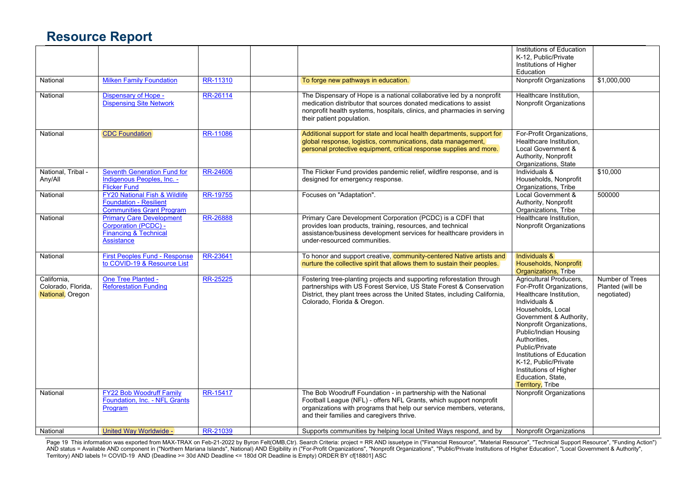|                    |                                          |                 |                                                                            | Institutions of Education      |                  |
|--------------------|------------------------------------------|-----------------|----------------------------------------------------------------------------|--------------------------------|------------------|
|                    |                                          |                 |                                                                            | K-12. Public/Private           |                  |
|                    |                                          |                 |                                                                            | Institutions of Higher         |                  |
|                    |                                          |                 |                                                                            |                                |                  |
|                    |                                          |                 |                                                                            | Education                      |                  |
| National           | <b>Milken Family Foundation</b>          | RR-11310        | To forge new pathways in education.                                        | <b>Nonprofit Organizations</b> | \$1,000,000      |
| National           | Dispensary of Hope -                     | RR-26114        | The Dispensary of Hope is a national collaborative led by a nonprofit      | Healthcare Institution,        |                  |
|                    | <b>Dispensing Site Network</b>           |                 | medication distributor that sources donated medications to assist          | Nonprofit Organizations        |                  |
|                    |                                          |                 | nonprofit health systems, hospitals, clinics, and pharmacies in serving    |                                |                  |
|                    |                                          |                 | their patient population.                                                  |                                |                  |
|                    |                                          |                 |                                                                            |                                |                  |
| National           | <b>CDC Foundation</b>                    | <b>RR-11086</b> | Additional support for state and local health departments, support for     | For-Profit Organizations,      |                  |
|                    |                                          |                 | global response, logistics, communications, data management,               | Healthcare Institution,        |                  |
|                    |                                          |                 | personal protective equipment, critical response supplies and more.        | Local Government &             |                  |
|                    |                                          |                 |                                                                            | Authority, Nonprofit           |                  |
|                    |                                          |                 |                                                                            | Organizations, State           |                  |
| National. Tribal - | <b>Seventh Generation Fund for</b>       | RR-24606        | The Flicker Fund provides pandemic relief, wildfire response, and is       | Individuals &                  | \$10,000         |
| Any/All            | Indigenous Peoples, Inc. -               |                 | designed for emergency response.                                           | Households, Nonprofit          |                  |
|                    | <b>Flicker Fund</b>                      |                 |                                                                            | Organizations, Tribe           |                  |
| National           | <b>FY20 National Fish &amp; Wildlife</b> | RR-19755        | Focuses on "Adaptation".                                                   | Local Government &             | 500000           |
|                    | <b>Foundation - Resilient</b>            |                 |                                                                            | Authority, Nonprofit           |                  |
|                    | <b>Communities Grant Program</b>         |                 |                                                                            | Organizations, Tribe           |                  |
| National           | <b>Primary Care Development</b>          | RR-26888        | Primary Care Development Corporation (PCDC) is a CDFI that                 | Healthcare Institution,        |                  |
|                    | Corporation (PCDC) -                     |                 | provides loan products, training, resources, and technical                 | Nonprofit Organizations        |                  |
|                    | <b>Financing &amp; Technical</b>         |                 | assistance/business development services for healthcare providers in       |                                |                  |
|                    | Assistance                               |                 | under-resourced communities.                                               |                                |                  |
|                    |                                          |                 |                                                                            |                                |                  |
| National           | <b>First Peoples Fund - Response</b>     | RR-23641        | To honor and support creative, community-centered Native artists and       | Individuals &                  |                  |
|                    | to COVID-19 & Resource List              |                 | nurture the collective spirit that allows them to sustain their peoples.   | Households, Nonprofit          |                  |
|                    |                                          |                 |                                                                            | Organizations, Tribe           |                  |
| California.        | One Tree Planted -                       | <b>RR-25225</b> | Fostering tree-planting projects and supporting reforestation through      | Agricultural Producers,        | Number of Trees  |
| Colorado, Florida, | <b>Reforestation Funding</b>             |                 | partnerships with US Forest Service, US State Forest & Conservation        | For-Profit Organizations,      | Planted (will be |
| National, Oregon   |                                          |                 | District, they plant trees across the United States, including California, | Healthcare Institution,        | negotiated)      |
|                    |                                          |                 | Colorado, Florida & Oregon.                                                | Individuals &                  |                  |
|                    |                                          |                 |                                                                            | Households, Local              |                  |
|                    |                                          |                 |                                                                            | Government & Authority,        |                  |
|                    |                                          |                 |                                                                            | Nonprofit Organizations,       |                  |
|                    |                                          |                 |                                                                            | Public/Indian Housing          |                  |
|                    |                                          |                 |                                                                            | Authorities.                   |                  |
|                    |                                          |                 |                                                                            | Public/Private                 |                  |
|                    |                                          |                 |                                                                            | Institutions of Education      |                  |
|                    |                                          |                 |                                                                            | K-12, Public/Private           |                  |
|                    |                                          |                 |                                                                            | Institutions of Higher         |                  |
|                    |                                          |                 |                                                                            | Education, State,              |                  |
|                    |                                          |                 |                                                                            | <b>Territory</b> , Tribe       |                  |
| National           | <b>FY22 Bob Woodruff Family</b>          | RR-15417        | The Bob Woodruff Foundation - in partnership with the National             | <b>Nonprofit Organizations</b> |                  |
|                    | Foundation, Inc. - NFL Grants            |                 | Football League (NFL) - offers NFL Grants, which support nonprofit         |                                |                  |
|                    | Program                                  |                 | organizations with programs that help our service members, veterans,       |                                |                  |
|                    |                                          |                 | and their families and caregivers thrive.                                  |                                |                  |
|                    |                                          |                 |                                                                            |                                |                  |
| National           | United Way Worldwide -                   | RR-21039        | Supports communities by helping local United Ways respond, and by          | <b>Nonprofit Organizations</b> |                  |

Page 19 This information was exported from MAX-TRAX on Feb-21-2022 by Byron Felt(OMB,Ctr). Search Criteria: project = RR AND issuetype in ("Financial Resource", "Material Resource", "Technical Support Resource", "Funding A AND status = Available AND component in ("Northern Mariana Islands", National) AND Eligibility in ("For-Profit Organizations", "Nonprofit Organizations", "Public/Private Institutions of Higher Education", "Local Government Territory) AND labels != COVID-19 AND (Deadline >= 30d AND Deadline <= 180d OR Deadline is Empty) ORDER BY cf[18801] ASC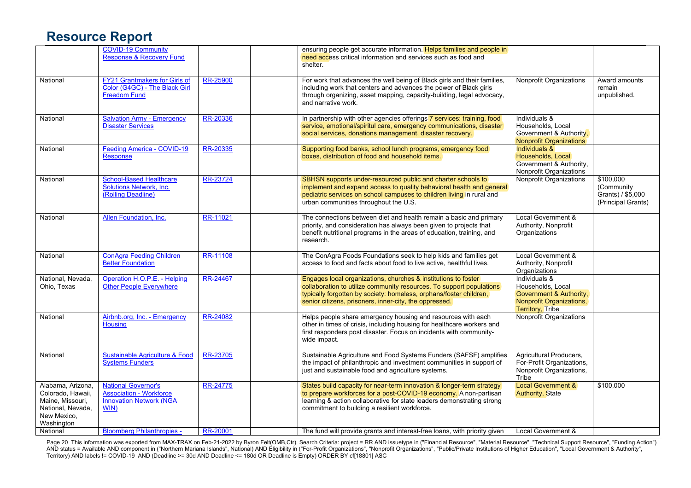|                                                                                                              | <b>COVID-19 Community</b><br>Response & Recovery Fund                                                  |                 | ensuring people get accurate information. Helps families and people in<br>need access critical information and services such as food and<br>shelter.                                                                                                                   |                                                                                                                      |                                                                    |
|--------------------------------------------------------------------------------------------------------------|--------------------------------------------------------------------------------------------------------|-----------------|------------------------------------------------------------------------------------------------------------------------------------------------------------------------------------------------------------------------------------------------------------------------|----------------------------------------------------------------------------------------------------------------------|--------------------------------------------------------------------|
| National                                                                                                     | <b>FY21 Grantmakers for Girls of</b><br>Color (G4GC) - The Black Girl<br><b>Freedom Fund</b>           | RR-25900        | For work that advances the well being of Black girls and their families,<br>including work that centers and advances the power of Black girls<br>through organizing, asset mapping, capacity-building, legal advocacy,<br>and narrative work.                          | <b>Nonprofit Organizations</b>                                                                                       | Award amounts<br>remain<br>unpublished.                            |
| National                                                                                                     | <b>Salvation Army - Emergency</b><br><b>Disaster Services</b>                                          | RR-20336        | In partnership with other agencies offerings 7 services: training, food<br>service, emotional/spiritul care, emergency communications, disaster<br>social services, donations management, disaster recovery.                                                           | Individuals &<br>Households, Local<br>Government & Authority,<br><b>Nonprofit Organizations</b>                      |                                                                    |
| National                                                                                                     | Feeding America - COVID-19<br><b>Response</b>                                                          | RR-20335        | Supporting food banks, school lunch programs, emergency food<br>boxes, distribution of food and household items.                                                                                                                                                       | Individuals &<br>Households, Local<br>Government & Authority,<br>Nonprofit Organizations                             |                                                                    |
| National                                                                                                     | <b>School-Based Healthcare</b><br>Solutions Network, Inc.<br>(Rolling Deadline)                        | RR-23724        | SBHSN supports under-resourced public and charter schools to<br>implement and expand access to quality behavioral health and general<br>pediatric services on school campuses to children living in rural and<br>urban communities throughout the U.S.                 | <b>Nonprofit Organizations</b>                                                                                       | \$100,000<br>(Community<br>Grants) / \$5,000<br>(Principal Grants) |
| National                                                                                                     | Allen Foundation, Inc.                                                                                 | RR-11021        | The connections between diet and health remain a basic and primary<br>priority, and consideration has always been given to projects that<br>benefit nutritional programs in the areas of education, training, and<br>research.                                         | Local Government &<br>Authority, Nonprofit<br>Organizations                                                          |                                                                    |
| National                                                                                                     | <b>ConAgra Feeding Children</b><br><b>Better Foundation</b>                                            | RR-11108        | The ConAgra Foods Foundations seek to help kids and families get<br>access to food and facts about food to live active, healthful lives.                                                                                                                               | Local Government &<br>Authority, Nonprofit<br>Organizations                                                          |                                                                    |
| National, Nevada,<br>Ohio, Texas                                                                             | Operation H.O.P.E. - Helping<br>Other People Everywhere                                                | RR-24467        | Engages local organizations, churches & institutions to foster<br>collaboration to utilize community resources. To support populations<br>typically forgotten by society: homeless, orphans/foster children,<br>senior citizens, prisoners, inner-city, the oppressed. | Individuals &<br>Households, Local<br>Government & Authority,<br>Nonprofit Organizations,<br><b>Territory, Tribe</b> |                                                                    |
| National                                                                                                     | Airbnb.org, Inc. - Emergency<br><b>Housing</b>                                                         | RR-24082        | Helps people share emergency housing and resources with each<br>other in times of crisis, including housing for healthcare workers and<br>first responders post disaster. Focus on incidents with community-<br>wide impact.                                           | <b>Nonprofit Organizations</b>                                                                                       |                                                                    |
| National                                                                                                     | <b>Sustainable Agriculture &amp; Food</b><br><b>Systems Funders</b>                                    | RR-23705        | Sustainable Agriculture and Food Systems Funders (SAFSF) amplifies<br>the impact of philanthropic and investment communities in support of<br>just and sustainable food and agriculture systems.                                                                       | Agricultural Producers,<br>For-Profit Organizations,<br>Nonprofit Organizations,<br>Tribe                            |                                                                    |
| Alabama, Arizona,<br>Colorado, Hawaii,<br>Maine, Missouri,<br>National, Nevada,<br>New Mexico,<br>Washington | <b>National Governor's</b><br><b>Association - Workforce</b><br><b>Innovation Network (NGA</b><br>WIN) | <b>RR-24775</b> | States build capacity for near-term innovation & longer-term strategy<br>to prepare workforces for a post-COVID-19 economy. A non-partisan<br>learning & action collaborative for state leaders demonstrating strong<br>commitment to building a resilient workforce.  | Local Government &<br><b>Authority, State</b>                                                                        | \$100,000                                                          |
| National                                                                                                     | <b>Bloomberg Philanthropies -</b>                                                                      | RR-20001        | The fund will provide grants and interest-free loans, with priority given                                                                                                                                                                                              | Local Government &                                                                                                   |                                                                    |

Page 20 This information was exported from MAX-TRAX on Feb-21-2022 by Byron Felt(OMB,Ctr). Search Criteria: project = RR AND issuetype in ("Financial Resource", "Material Resource", "Technical Support Resource", "Funding A AND status = Available AND component in ("Northern Mariana Islands", National) AND Eligibility in ("For-Profit Organizations", "Nonprofit Organizations", "Public/Private Institutions of Higher Education", "Local Government Territory) AND labels != COVID-19 AND (Deadline >= 30d AND Deadline <= 180d OR Deadline is Empty) ORDER BY cf[18801] ASC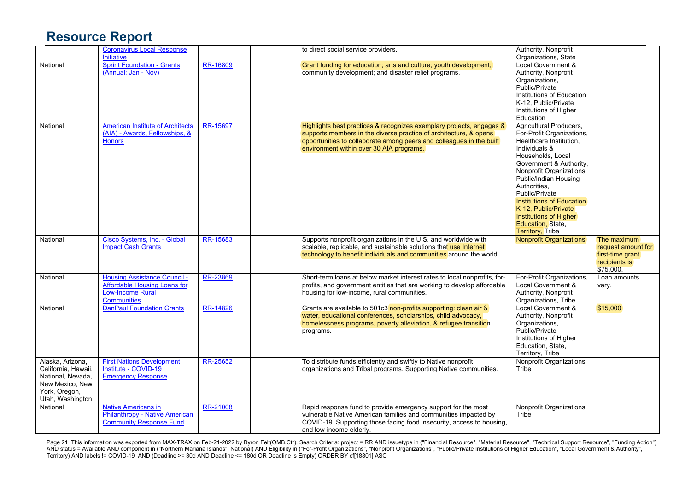|                     | <b>Coronavirus Local Response</b>       |          | to direct social service providers.                                       | Authority, Nonprofit             |                            |
|---------------------|-----------------------------------------|----------|---------------------------------------------------------------------------|----------------------------------|----------------------------|
|                     | Initiative                              |          |                                                                           | Organizations, State             |                            |
| National            | <b>Sprint Foundation - Grants</b>       | RR-16809 | Grant funding for education; arts and culture; youth development;         | Local Government &               |                            |
|                     | (Annual: Jan - Nov)                     |          | community development; and disaster relief programs.                      | Authority, Nonprofit             |                            |
|                     |                                         |          |                                                                           | Organizations,                   |                            |
|                     |                                         |          |                                                                           | Public/Private                   |                            |
|                     |                                         |          |                                                                           | Institutions of Education        |                            |
|                     |                                         |          |                                                                           | K-12, Public/Private             |                            |
|                     |                                         |          |                                                                           | Institutions of Higher           |                            |
|                     |                                         |          |                                                                           | Education                        |                            |
| National            | <b>American Institute of Architects</b> | RR-15697 | Highlights best practices & recognizes exemplary projects, engages &      | Agricultural Producers,          |                            |
|                     | (AIA) - Awards, Fellowships, &          |          | supports members in the diverse practice of architecture, & opens         | For-Profit Organizations,        |                            |
|                     | <b>Honors</b>                           |          | opportunities to collaborate among peers and colleagues in the built      | Healthcare Institution,          |                            |
|                     |                                         |          | environment within over 30 AIA programs.                                  | Individuals &                    |                            |
|                     |                                         |          |                                                                           | Households, Local                |                            |
|                     |                                         |          |                                                                           | Government & Authority,          |                            |
|                     |                                         |          |                                                                           | Nonprofit Organizations,         |                            |
|                     |                                         |          |                                                                           | Public/Indian Housing            |                            |
|                     |                                         |          |                                                                           | Authorities,                     |                            |
|                     |                                         |          |                                                                           | Public/Private                   |                            |
|                     |                                         |          |                                                                           | <b>Institutions of Education</b> |                            |
|                     |                                         |          |                                                                           | K-12, Public/Private             |                            |
|                     |                                         |          |                                                                           | Institutions of Higher           |                            |
|                     |                                         |          |                                                                           | Education, State,                |                            |
|                     |                                         |          |                                                                           | <b>Territory, Tribe</b>          |                            |
| National            | Cisco Systems, Inc. - Global            | RR-15683 | Supports nonprofit organizations in the U.S. and worldwide with           | <b>Nonprofit Organizations</b>   | The maximum                |
|                     | <b>Impact Cash Grants</b>               |          | scalable, replicable, and sustainable solutions that use Internet         |                                  | request amount for         |
|                     |                                         |          | technology to benefit individuals and communities around the world.       |                                  | first-time grant           |
|                     |                                         |          |                                                                           |                                  | recipients is<br>\$75,000. |
| National            | <b>Housing Assistance Council -</b>     | RR-23869 | Short-term loans at below market interest rates to local nonprofits, for- | For-Profit Organizations,        | Loan amounts               |
|                     | Affordable Housing Loans for            |          | profits, and government entities that are working to develop affordable   | Local Government &               | vary.                      |
|                     | Low-Income Rural                        |          | housing for low-income, rural communities.                                | Authority, Nonprofit             |                            |
|                     | <b>Communities</b>                      |          |                                                                           | Organizations, Tribe             |                            |
| National            | <b>DanPaul Foundation Grants</b>        | RR-14826 | Grants are available to 501c3 non-profits supporting: clean air &         | Local Government &               | \$15,000                   |
|                     |                                         |          | water, educational conferences, scholarships, child advocacy,             | Authority, Nonprofit             |                            |
|                     |                                         |          | homelessness programs, poverty alleviation, & refugee transition          | Organizations,                   |                            |
|                     |                                         |          | programs.                                                                 | Public/Private                   |                            |
|                     |                                         |          |                                                                           | Institutions of Higher           |                            |
|                     |                                         |          |                                                                           | Education, State,                |                            |
|                     |                                         |          |                                                                           | Territory, Tribe                 |                            |
| Alaska, Arizona,    | <b>First Nations Development</b>        | RR-25652 | To distribute funds efficiently and swiftly to Native nonprofit           | Nonprofit Organizations,         |                            |
| California, Hawaii, | Institute - COVID-19                    |          | organizations and Tribal programs. Supporting Native communities.         | Tribe                            |                            |
| National, Nevada,   | <b>Emergency Response</b>               |          |                                                                           |                                  |                            |
| New Mexico, New     |                                         |          |                                                                           |                                  |                            |
| York, Oregon,       |                                         |          |                                                                           |                                  |                            |
| Utah, Washington    |                                         |          |                                                                           |                                  |                            |
| National            | <b>Native Americans in</b>              | RR-21008 | Rapid response fund to provide emergency support for the most             | Nonprofit Organizations,         |                            |
|                     | Philanthropy - Native American          |          | vulnerable Native American families and communities impacted by           | Tribe                            |                            |
|                     | <b>Community Response Fund</b>          |          | COVID-19. Supporting those facing food insecurity, access to housing,     |                                  |                            |
|                     |                                         |          | and low-income elderly.                                                   |                                  |                            |

Page 21 This information was exported from MAX-TRAX on Feb-21-2022 by Byron Felt(OMB,Ctr). Search Criteria: project = RR AND issuetype in ("Financial Resource", "Material Resource", "Technical Support Resource", "Funding A AND status = Available AND component in ("Northern Mariana Islands", National) AND Eligibility in ("For-Profit Organizations", "Nonprofit Organizations", "Public/Private Institutions of Higher Education", "Local Government Territory) AND labels != COVID-19 AND (Deadline >= 30d AND Deadline <= 180d OR Deadline is Empty) ORDER BY cf[18801] ASC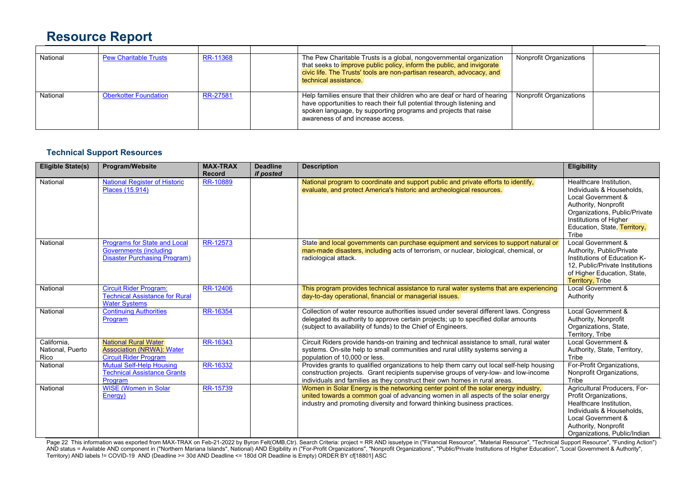| National | <b>Pew Charitable Trusts</b> | RR-11368 | The Pew Charitable Trusts is a global, nongovernmental organization<br>that seeks to <i>improve public policy</i> , inform the public, and invigorate<br>civic life. The Trusts' tools are non-partisan research, advocacy, and<br>technical assistance.   | <b>Nonprofit Organizations</b> |  |
|----------|------------------------------|----------|------------------------------------------------------------------------------------------------------------------------------------------------------------------------------------------------------------------------------------------------------------|--------------------------------|--|
| National | <b>Oberkotter Foundation</b> | RR-27581 | Help families ensure that their children who are deaf or hard of hearing<br>have opportunities to reach their full potential through listening and<br>spoken language, by supporting programs and projects that raise<br>awareness of and increase access. | <b>Nonprofit Organizations</b> |  |

#### **Technical Support Resources**

| <b>Eligible State(s)</b>                | Program/Website                                                                                             | <b>MAX-TRAX</b><br><b>Record</b> | <b>Deadline</b><br>if posted | <b>Description</b>                                                                                                                                                                                                                                              | <b>Eligibility</b>                                                                                                                                                                                     |
|-----------------------------------------|-------------------------------------------------------------------------------------------------------------|----------------------------------|------------------------------|-----------------------------------------------------------------------------------------------------------------------------------------------------------------------------------------------------------------------------------------------------------------|--------------------------------------------------------------------------------------------------------------------------------------------------------------------------------------------------------|
| National                                | <b>National Register of Historic</b><br>Places (15.914)                                                     | RR-10889                         |                              | National program to coordinate and support public and private efforts to identify,<br>evaluate, and protect America's historic and archeological resources.                                                                                                     | Healthcare Institution,<br>Individuals & Households.<br>Local Government &<br>Authority, Nonprofit<br>Organizations, Public/Private<br>Institutions of Higher<br>Education, State, Territory,<br>Tribe |
| National                                | <b>Programs for State and Local</b><br><b>Governments (including</b><br><b>Disaster Purchasing Program)</b> | RR-12573                         |                              | State and local governments can purchase equipment and services to support natural or<br>man-made disasters, including acts of terrorism, or nuclear, biological, chemical, or<br>radiological attack.                                                          | Local Government &<br>Authority, Public/Private<br>Institutions of Education K-<br>12, Public/Private Institutions<br>of Higher Education, State,<br><b>Territory, Tribe</b>                           |
| National                                | <b>Circuit Rider Program:</b><br><b>Technical Assistance for Rural</b><br><b>Water Systems</b>              | RR-12406                         |                              | This program provides technical assistance to rural water systems that are experiencing<br>day-to-day operational, financial or managerial issues.                                                                                                              | Local Government &<br>Authority                                                                                                                                                                        |
| National                                | <b>Continuing Authorities</b><br>Program                                                                    | RR-16354                         |                              | Collection of water resource authorities issued under several different laws. Congress<br>delegated its authority to approve certain projects; up to specified dollar amounts<br>(subject to availability of funds) to the Chief of Engineers.                  | Local Government &<br>Authority, Nonprofit<br>Organizations, State,<br>Territory, Tribe                                                                                                                |
| California.<br>National, Puerto<br>Rico | National Rural Water<br><b>Association (NRWA): Water</b><br><b>Circuit Rider Program</b>                    | RR-16343                         |                              | Circuit Riders provide hands-on training and technical assistance to small, rural water<br>systems. On-site help to small communities and rural utility systems serving a<br>population of 10,000 or less.                                                      | Local Government &<br>Authority, State, Territory,<br>Tribe                                                                                                                                            |
| National                                | <b>Mutual Self-Help Housing</b><br><b>Technical Assistance Grants</b><br>Program                            | RR-16332                         |                              | Provides grants to qualified organizations to help them carry out local self-help housing<br>construction projects. Grant recipients supervise groups of very-low- and low-income<br>individuals and families as they construct their own homes in rural areas. | For-Profit Organizations,<br>Nonprofit Organizations,<br>Tribe                                                                                                                                         |
| National                                | <b>WISE (Women in Solar</b><br>Energy)                                                                      | <b>RR-15739</b>                  |                              | Women in Solar Energy is the networking center point of the solar energy industry,<br>united towards a common goal of advancing women in all aspects of the solar energy<br>industry and promoting diversity and forward thinking business practices.           | Agricultural Producers, For-<br>Profit Organizations,<br>Healthcare Institution.<br>Individuals & Households.<br>Local Government &<br>Authority, Nonprofit<br>Organizations, Public/Indian            |

Page 22 This information was exported from MAX-TRAX on Feb-21-2022 by Byron Felt(OMB,Ctr). Search Criteria: project = RR AND issuetype in ("Financial Resource", "Material Resource", "Technical Support Resource", "Funding A AND status = Available AND component in ("Northern Mariana Islands", National) AND Eligibility in ("For-Profit Organizations", "Nonprofit Organizations", "Public/Private Institutions of Higher Education", "Local Government Territory) AND labels != COVID-19 AND (Deadline >= 30d AND Deadline <= 180d OR Deadline is Empty) ORDER BY cf[18801] ASC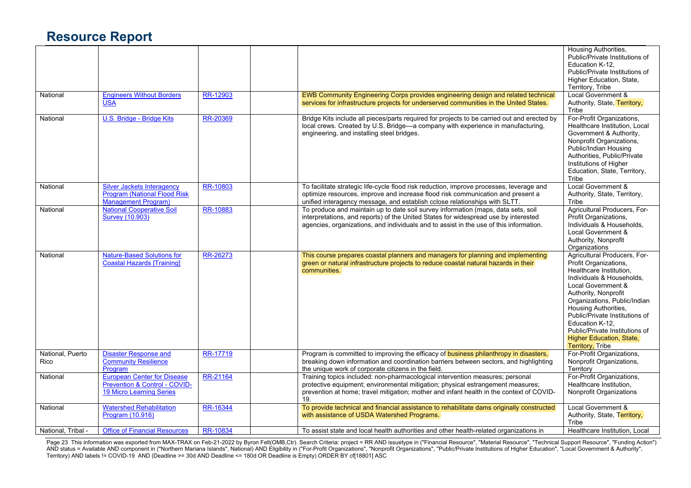|                          |                                                                                                        |          |                                                                                                                                                                                                                                                                     | Housing Authorities,<br>Public/Private Institutions of<br>Education K-12,<br>Public/Private Institutions of<br>Higher Education, State,<br>Territory, Tribe                                                                                                                                                                                                              |
|--------------------------|--------------------------------------------------------------------------------------------------------|----------|---------------------------------------------------------------------------------------------------------------------------------------------------------------------------------------------------------------------------------------------------------------------|--------------------------------------------------------------------------------------------------------------------------------------------------------------------------------------------------------------------------------------------------------------------------------------------------------------------------------------------------------------------------|
| National                 | <b>Engineers Without Borders</b><br><b>USA</b>                                                         | RR-12903 | EWB Community Engineering Corps provides engineering design and related technical<br>services for infrastructure projects for underserved communities in the United States.                                                                                         | Local Government &<br>Authority, State, Territory,<br>Tribe                                                                                                                                                                                                                                                                                                              |
| National                 | U.S. Bridge - Bridge Kits                                                                              | RR-20369 | Bridge Kits include all pieces/parts required for projects to be carried out and erected by<br>local crews. Created by U.S. Bridge-a company with experience in manufacturing,<br>engineering, and installing steel bridges.                                        | For-Profit Organizations,<br>Healthcare Institution. Local<br>Government & Authority,<br>Nonprofit Organizations,<br>Public/Indian Housing<br>Authorities, Public/Private<br>Institutions of Higher<br>Education, State, Territory,<br>Tribe                                                                                                                             |
| National                 | <b>Silver Jackets Interagency</b><br>Program (National Flood Risk<br><b>Management Program)</b>        | RR-10803 | To facilitate strategic life-cycle flood risk reduction, improve processes, leverage and<br>optimize resources, improve and increase flood risk communication and present a<br>unified interagency message, and establish cclose relationships with SLTT.           | Local Government &<br>Authority, State, Territory,<br>Tribe                                                                                                                                                                                                                                                                                                              |
| National                 | <b>National Cooperative Soil</b><br><b>Survey (10.903)</b>                                             | RR-10883 | To produce and maintain up to date soil survey information (maps, data sets, soil<br>interpretations, and reports) of the United States for widespread use by interested<br>agencies, organizations, and individuals and to assist in the use of this information.  | Agricultural Producers, For-<br>Profit Organizations,<br>Individuals & Households,<br>Local Government &<br>Authority, Nonprofit<br>Organizations                                                                                                                                                                                                                        |
| National                 | <b>Nature-Based Solutions for</b><br><b>Coastal Hazards [Training]</b>                                 | RR-26273 | This course prepares coastal planners and managers for planning and implementing<br>green or natural infrastructure projects to reduce coastal natural hazards in their<br>communities.                                                                             | Agricultural Producers, For-<br>Profit Organizations,<br>Healthcare Institution,<br>Individuals & Households.<br>Local Government &<br>Authority, Nonprofit<br>Organizations, Public/Indian<br>Housing Authorities,<br>Public/Private Institutions of<br>Education K-12.<br>Public/Private Institutions of<br><b>Higher Education, State,</b><br><b>Territory, Tribe</b> |
| National, Puerto<br>Rico | Disaster Response and<br><b>Community Resilience</b><br>Program                                        | RR-17719 | Program is committed to improving the efficacy of <b>business philanthropy in disasters</b> ,<br>breaking down information and coordination barriers between sectors, and highlighting<br>the unique work of corporate citizens in the field.                       | For-Profit Organizations,<br>Nonprofit Organizations,<br>Territory                                                                                                                                                                                                                                                                                                       |
| National                 | <b>European Center for Disease</b><br>Prevention & Control - COVID-<br><b>19 Micro Learning Series</b> | RR-21164 | Training topics included: non-pharmacological intervention measures; personal<br>protective equipment; environmental mitigation; physical estrangement measures;<br>prevention at home; travel mitigation; mother and infant health in the context of COVID-<br>19. | For-Profit Organizations,<br>Healthcare Institution,<br>Nonprofit Organizations                                                                                                                                                                                                                                                                                          |
| National                 | <b>Watershed Rehabilitation</b><br>Program (10.916)                                                    | RR-16344 | To provide technical and financial assistance to rehabilitate dams originally constructed<br>with assistance of USDA Watershed Programs.                                                                                                                            | Local Government &<br>Authority, State, Territory,<br>Tribe                                                                                                                                                                                                                                                                                                              |
| National. Tribal -       | <b>Office of Financial Resources</b>                                                                   | RR-10834 | To assist state and local health authorities and other health-related organizations in                                                                                                                                                                              | Healthcare Institution, Local                                                                                                                                                                                                                                                                                                                                            |

Page 23 This information was exported from MAX-TRAX on Feb-21-2022 by Byron Felt(OMB,Ctr). Search Criteria: project = RR AND issuetype in ("Financial Resource", "Material Resource", "Technical Support Resource", "Funding A AND status = Available AND component in ("Northern Mariana Islands", National) AND Eligibility in ("For-Profit Organizations", "Nonprofit Organizations", "Public/Private Institutions of Higher Education", "Local Government Territory) AND labels != COVID-19 AND (Deadline >= 30d AND Deadline <= 180d OR Deadline is Empty) ORDER BY cf[18801] ASC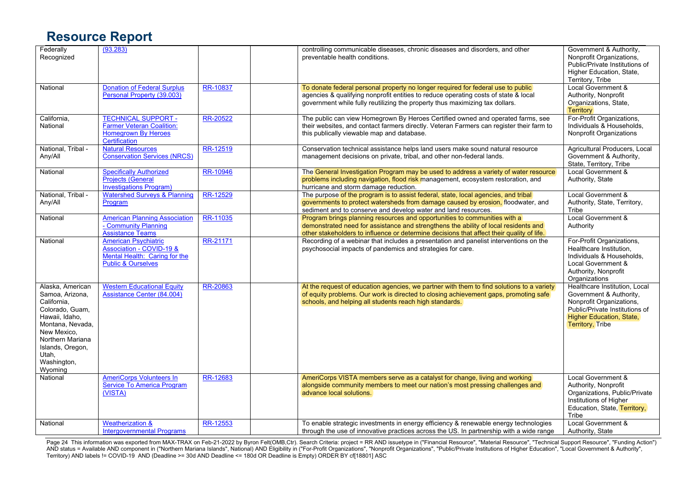| Federally<br>Recognized                                                                                                                                                                               | (93.283)                                                                                                                  |          | controlling communicable diseases, chronic diseases and disorders, and other<br>preventable health conditions.                                                                                                                                                | Government & Authority,<br>Nonprofit Organizations,<br>Public/Private Institutions of<br>Higher Education, State,<br>Territory, Tribe                                         |
|-------------------------------------------------------------------------------------------------------------------------------------------------------------------------------------------------------|---------------------------------------------------------------------------------------------------------------------------|----------|---------------------------------------------------------------------------------------------------------------------------------------------------------------------------------------------------------------------------------------------------------------|-------------------------------------------------------------------------------------------------------------------------------------------------------------------------------|
| National                                                                                                                                                                                              | <b>Donation of Federal Surplus</b><br>Personal Property (39.003)                                                          | RR-10837 | To donate federal personal property no longer required for federal use to public<br>agencies & qualifying nonprofit entities to reduce operating costs of state & local<br>government while fully reutilizing the property thus maximizing tax dollars.       | Local Government &<br>Authority, Nonprofit<br>Organizations, State,<br><b>Territory</b>                                                                                       |
| California,<br>National                                                                                                                                                                               | <b>TECHNICAL SUPPORT -</b><br>Farmer Veteran Coalition:<br>Homegrown By Heroes<br>Certification                           | RR-20522 | The public can view Homegrown By Heroes Certified owned and operated farms, see<br>their websites, and contact farmers directly. Veteran Farmers can register their farm to<br>this publically viewable map and database.                                     | For-Profit Organizations,<br>Individuals & Households,<br>Nonprofit Organizations                                                                                             |
| National, Tribal -<br>Any/All                                                                                                                                                                         | <b>Natural Resources</b><br><b>Conservation Services (NRCS)</b>                                                           | RR-12519 | Conservation technical assistance helps land users make sound natural resource<br>management decisions on private, tribal, and other non-federal lands.                                                                                                       | Agricultural Producers, Local<br>Government & Authority,<br>State, Territory, Tribe                                                                                           |
| National                                                                                                                                                                                              | <b>Specifically Authorized</b><br><b>Projects (General</b><br><b>Investigations Program)</b>                              | RR-10946 | The General Investigation Program may be used to address a variety of water resource<br>problems including navigation, flood risk management, ecosystem restoration, and<br>hurricane and storm damage reduction.                                             | Local Government &<br>Authority, State                                                                                                                                        |
| National, Tribal -<br>Any/All                                                                                                                                                                         | <b>Watershed Surveys &amp; Planning</b><br>Program                                                                        | RR-12529 | The purpose of the program is to assist federal, state, local agencies, and tribal<br>governments to protect watersheds from damage caused by erosion, floodwater, and<br>sediment and to conserve and develop water and land resources.                      | Local Government &<br>Authority, State, Territory,<br>Tribe                                                                                                                   |
| National                                                                                                                                                                                              | <b>American Planning Association</b><br>- Community Planning<br><b>Assistance Teams</b>                                   | RR-11035 | Program brings planning resources and opportunities to communities with a<br>demonstrated need for assistance and strengthens the ability of local residents and<br>other stakeholders to influence or determine decisions that affect their quality of life. | Local Government &<br>Authority                                                                                                                                               |
| National                                                                                                                                                                                              | <b>American Psychiatric</b><br>Association - COVID-19 &<br>Mental Health: Caring for the<br><b>Public &amp; Ourselves</b> | RR-21171 | Recording of a webinar that includes a presentation and panelist interventions on the<br>psychosocial impacts of pandemics and strategies for care.                                                                                                           | For-Profit Organizations,<br>Healthcare Institution,<br>Individuals & Households.<br>Local Government &<br>Authority, Nonprofit<br>Organizations                              |
| Alaska, American<br>Samoa, Arizona,<br>California,<br>Colorado, Guam,<br>Hawaii, Idaho,<br>Montana, Nevada.<br>New Mexico.<br>Northern Mariana<br>Islands, Oregon,<br>Utah,<br>Washington,<br>Wyoming | <b>Western Educational Equity</b><br><b>Assistance Center (84.004)</b>                                                    | RR-20863 | At the request of education agencies, we partner with them to find solutions to a variety<br>of equity problems. Our work is directed to closing achievement gaps, promoting safe<br>schools, and helping all students reach high standards.                  | Healthcare Institution, Local<br>Government & Authority,<br>Nonprofit Organizations,<br>Public/Private Institutions of<br>Higher Education, State,<br><b>Territory, Tribe</b> |
| National                                                                                                                                                                                              | <b>AmeriCorps Volunteers In</b><br><b>Service To America Program</b><br>(VISTA)                                           | RR-12683 | AmeriCorps VISTA members serve as a catalyst for change, living and working<br>alongside community members to meet our nation's most pressing challenges and<br>advance local solutions.                                                                      | Local Government &<br>Authority, Nonprofit<br>Organizations, Public/Private<br>Institutions of Higher<br>Education, State, Territory,<br>Tribe                                |
| National                                                                                                                                                                                              | <b>Weatherization &amp;</b><br><b>Intergovernmental Programs</b>                                                          | RR-12553 | To enable strategic investments in energy efficiency & renewable energy technologies<br>through the use of innovative practices across the US. In partnership with a wide range                                                                               | Local Government &<br>Authority, State                                                                                                                                        |

Page 24 This information was exported from MAX-TRAX on Feb-21-2022 by Byron Felt(OMB,Ctr). Search Criteria: project = RR AND issuetype in ("Financial Resource", "Material Resource", "Technical Support Resource", "Funding A AND status = Available AND component in ("Northern Mariana Islands", National) AND Eligibility in ("For-Profit Organizations", "Nonprofit Organizations", "Public/Private Institutions of Higher Education", "Local Government Territory) AND labels != COVID-19 AND (Deadline >= 30d AND Deadline <= 180d OR Deadline is Empty) ORDER BY cf[18801] ASC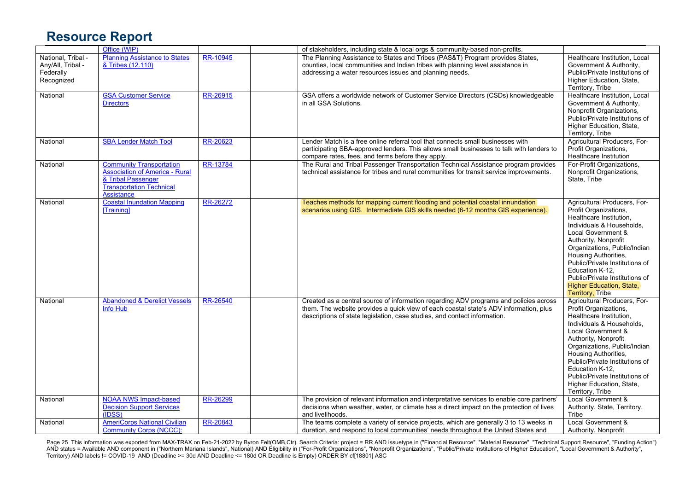|                    | Office (WIP)                            |                 | of stakeholders, including state & local orgs & community-based non-profits.               |                                |
|--------------------|-----------------------------------------|-----------------|--------------------------------------------------------------------------------------------|--------------------------------|
| National, Tribal - | <b>Planning Assistance to States</b>    | RR-10945        | The Planning Assistance to States and Tribes (PAS&T) Program provides States,              | Healthcare Institution, Local  |
| Any/All, Tribal -  | & Tribes (12.110)                       |                 | counties, local communities and Indian tribes with planning level assistance in            | Government & Authority,        |
| Federally          |                                         |                 | addressing a water resources issues and planning needs.                                    | Public/Private Institutions of |
| Recognized         |                                         |                 |                                                                                            | Higher Education, State,       |
|                    |                                         |                 |                                                                                            | Territory, Tribe               |
| National           | <b>GSA Customer Service</b>             | RR-26915        | GSA offers a worldwide network of Customer Service Directors (CSDs) knowledgeable          | Healthcare Institution, Local  |
|                    | <b>Directors</b>                        |                 | in all GSA Solutions.                                                                      | Government & Authority,        |
|                    |                                         |                 |                                                                                            | Nonprofit Organizations,       |
|                    |                                         |                 |                                                                                            | Public/Private Institutions of |
|                    |                                         |                 |                                                                                            | Higher Education, State,       |
|                    |                                         |                 |                                                                                            | Territory, Tribe               |
| National           | <b>SBA Lender Match Tool</b>            | RR-20623        | Lender Match is a free online referral tool that connects small businesses with            | Agricultural Producers, For-   |
|                    |                                         |                 | participating SBA-approved lenders. This allows small businesses to talk with lenders to   | Profit Organizations,          |
|                    |                                         |                 |                                                                                            |                                |
|                    |                                         |                 | compare rates, fees, and terms before they apply.                                          | Healthcare Institution         |
| National           | <b>Community Transportation</b>         | RR-13784        | The Rural and Tribal Passenger Transportation Technical Assistance program provides        | For-Profit Organizations,      |
|                    | <b>Association of America - Rural</b>   |                 | technical assistance for tribes and rural communities for transit service improvements.    | Nonprofit Organizations,       |
|                    | & Tribal Passenger                      |                 |                                                                                            | State, Tribe                   |
|                    | <b>Transportation Technical</b>         |                 |                                                                                            |                                |
|                    | Assistance                              |                 |                                                                                            |                                |
| National           | <b>Coastal Inundation Mapping</b>       | RR-26272        | Teaches methods for mapping current flooding and potential coastal innundation             | Agricultural Producers, For-   |
|                    | <b>Training</b>                         |                 | scenarios using GIS. Intermediate GIS skills needed (6-12 months GIS experience).          | Profit Organizations,          |
|                    |                                         |                 |                                                                                            | Healthcare Institution,        |
|                    |                                         |                 |                                                                                            | Individuals & Households.      |
|                    |                                         |                 |                                                                                            | Local Government &             |
|                    |                                         |                 |                                                                                            | Authority, Nonprofit           |
|                    |                                         |                 |                                                                                            | Organizations, Public/Indian   |
|                    |                                         |                 |                                                                                            | Housing Authorities,           |
|                    |                                         |                 |                                                                                            | Public/Private Institutions of |
|                    |                                         |                 |                                                                                            | Education K-12,                |
|                    |                                         |                 |                                                                                            | Public/Private Institutions of |
|                    |                                         |                 |                                                                                            | Higher Education, State,       |
|                    |                                         |                 |                                                                                            | <b>Territory, Tribe</b>        |
| National           | <b>Abandoned &amp; Derelict Vessels</b> | <b>RR-26540</b> | Created as a central source of information regarding ADV programs and policies across      | Agricultural Producers, For-   |
|                    | <b>Info Hub</b>                         |                 | them. The website provides a quick view of each coastal state's ADV information, plus      | Profit Organizations,          |
|                    |                                         |                 | descriptions of state legislation, case studies, and contact information.                  | Healthcare Institution,        |
|                    |                                         |                 |                                                                                            | Individuals & Households.      |
|                    |                                         |                 |                                                                                            | Local Government &             |
|                    |                                         |                 |                                                                                            | Authority, Nonprofit           |
|                    |                                         |                 |                                                                                            |                                |
|                    |                                         |                 |                                                                                            | Organizations, Public/Indian   |
|                    |                                         |                 |                                                                                            | Housing Authorities,           |
|                    |                                         |                 |                                                                                            | Public/Private Institutions of |
|                    |                                         |                 |                                                                                            | Education K-12,                |
|                    |                                         |                 |                                                                                            | Public/Private Institutions of |
|                    |                                         |                 |                                                                                            | Higher Education, State,       |
|                    |                                         |                 |                                                                                            | Territory, Tribe               |
| National           | <b>NOAA NWS Impact-based</b>            | RR-26299        | The provision of relevant information and interpretative services to enable core partners' | Local Government &             |
|                    | <b>Decision Support Services</b>        |                 | decisions when weather, water, or climate has a direct impact on the protection of lives   | Authority, State, Territory,   |
|                    | (IDSS)                                  |                 | and livelihoods.                                                                           | Tribe                          |
| National           | <b>AmeriCorps National Civilian</b>     | RR-20843        | The teams complete a variety of service projects, which are generally 3 to 13 weeks in     | Local Government &             |
|                    | <b>Community Corps (NCCC):</b>          |                 | duration, and respond to local communities' needs throughout the United States and         | Authority, Nonprofit           |

Page 25 This information was exported from MAX-TRAX on Feb-21-2022 by Byron Felt(OMB,Ctr). Search Criteria: project = RR AND issuetype in ("Financial Resource", "Material Resource", "Technical Support Resource", "Funding A AND status = Available AND component in ("Northern Mariana Islands", National) AND Eligibility in ("For-Profit Organizations", "Nonprofit Organizations", "Public/Private Institutions of Higher Education", "Local Government Territory) AND labels != COVID-19 AND (Deadline >= 30d AND Deadline <= 180d OR Deadline is Empty) ORDER BY cf[18801] ASC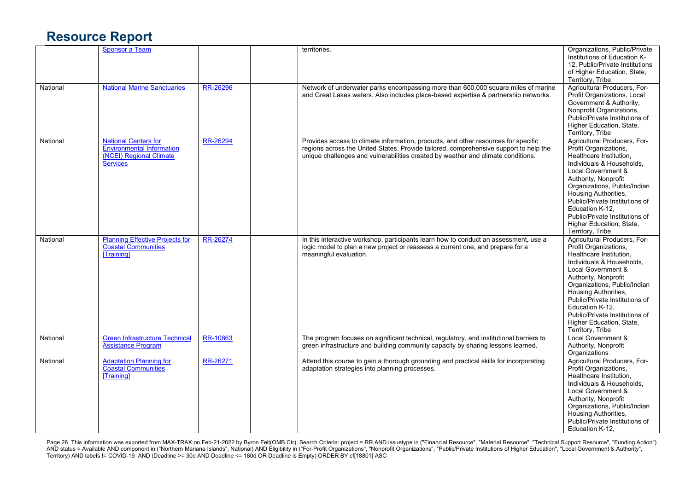|          | <b>Sponsor a Team</b>                                                                                         |          | territories.                                                                                                                                                                                                                                                    | Organizations, Public/Private<br>Institutions of Education K-<br>12. Public/Private Institutions<br>of Higher Education, State,<br>Territory, Tribe                                                                                                                                                                                                        |
|----------|---------------------------------------------------------------------------------------------------------------|----------|-----------------------------------------------------------------------------------------------------------------------------------------------------------------------------------------------------------------------------------------------------------------|------------------------------------------------------------------------------------------------------------------------------------------------------------------------------------------------------------------------------------------------------------------------------------------------------------------------------------------------------------|
| National | <b>National Marine Sanctuaries</b>                                                                            | RR-26296 | Network of underwater parks encompassing more than 600,000 square miles of marine<br>and Great Lakes waters. Also includes place-based expertise & partnership networks.                                                                                        | Agricultural Producers, For-<br>Profit Organizations, Local<br>Government & Authority,<br>Nonprofit Organizations,<br>Public/Private Institutions of<br>Higher Education, State,<br>Territory, Tribe                                                                                                                                                       |
| National | <b>National Centers for</b><br><b>Environmental Information</b><br>(NCEI) Regional Climate<br><b>Services</b> | RR-26294 | Provides access to climate information, products, and other resources for specific<br>regions across the United States. Provide tailored, comprehensive support to help the<br>unique challenges and vulnerabilities created by weather and climate conditions. | Agricultural Producers, For-<br>Profit Organizations,<br>Healthcare Institution.<br>Individuals & Households,<br>Local Government &<br>Authority, Nonprofit<br>Organizations, Public/Indian<br>Housing Authorities,<br>Public/Private Institutions of<br>Education K-12.<br>Public/Private Institutions of<br>Higher Education, State,<br>Territory, Tribe |
| National | <b>Planning Effective Projects for</b><br><b>Coastal Communities</b><br>[Training]                            | RR-26274 | In this interactive workshop, participants learn how to conduct an assessment, use a<br>logic model to plan a new project or reassess a current one, and prepare for a<br>meaningful evaluation.                                                                | Agricultural Producers, For-<br>Profit Organizations,<br>Healthcare Institution,<br>Individuals & Households,<br>Local Government &<br>Authority, Nonprofit<br>Organizations, Public/Indian<br>Housing Authorities,<br>Public/Private Institutions of<br>Education K-12.<br>Public/Private Institutions of<br>Higher Education, State,<br>Territory, Tribe |
| National | <b>Green Infrastructure Technical</b><br><b>Assistance Program</b>                                            | RR-10863 | The program focuses on significant technical, regulatory, and institutional barriers to<br>green infrastructure and building community capacity by sharing lessons learned.                                                                                     | Local Government &<br>Authority, Nonprofit<br>Organizations                                                                                                                                                                                                                                                                                                |
| National | <b>Adaptation Planning for</b><br>Coastal Communities<br>[Training]                                           | RR-26271 | Attend this course to gain a thorough grounding and practical skills for incorporating<br>adaptation strategies into planning processes.                                                                                                                        | Agricultural Producers, For-<br>Profit Organizations,<br>Healthcare Institution.<br>Individuals & Households,<br>Local Government &<br>Authority, Nonprofit<br>Organizations, Public/Indian<br>Housing Authorities,<br>Public/Private Institutions of<br>Education K-12,                                                                                   |

Page 26 This information was exported from MAX-TRAX on Feb-21-2022 by Byron Felt(OMB,Ctr). Search Criteria: project = RR AND issuetype in ("Financial Resource", "Material Resource", "Technical Support Resource", "Funding A AND status = Available AND component in ("Northern Mariana Islands", National) AND Eligibility in ("For-Profit Organizations", "Nonprofit Organizations", "Public/Private Institutions of Higher Education", "Local Government Territory) AND labels != COVID-19 AND (Deadline >= 30d AND Deadline <= 180d OR Deadline is Empty) ORDER BY cf[18801] ASC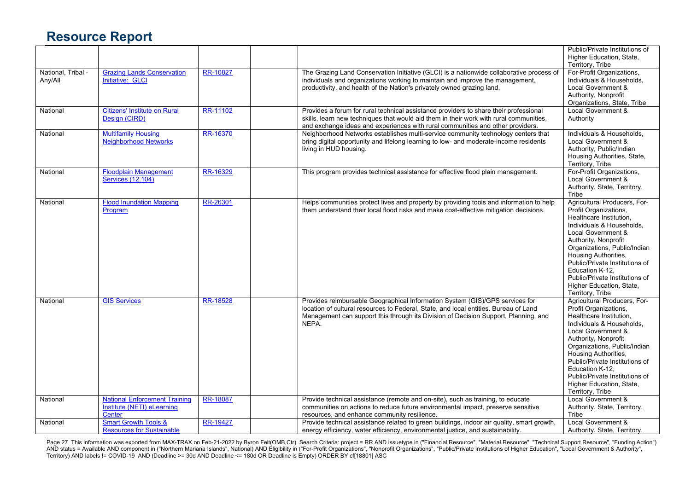|                               |                                                                              |                 |                                                                                                                                                                                                                                                                      | Public/Private Institutions of<br>Higher Education, State,<br>Territory, Tribe                                                                                                                                                                                                                                                                             |
|-------------------------------|------------------------------------------------------------------------------|-----------------|----------------------------------------------------------------------------------------------------------------------------------------------------------------------------------------------------------------------------------------------------------------------|------------------------------------------------------------------------------------------------------------------------------------------------------------------------------------------------------------------------------------------------------------------------------------------------------------------------------------------------------------|
| National, Tribal -<br>Any/All | <b>Grazing Lands Conservation</b><br>Initiative: GLCI                        | RR-10827        | The Grazing Land Conservation Initiative (GLCI) is a nationwide collaborative process of<br>individuals and organizations working to maintain and improve the management,<br>productivity, and health of the Nation's privately owned grazing land.                  | For-Profit Organizations,<br>Individuals & Households,<br>Local Government &<br>Authority, Nonprofit<br>Organizations, State, Tribe                                                                                                                                                                                                                        |
| National                      | <b>Citizens' Institute on Rural</b><br>Design (CIRD)                         | RR-11102        | Provides a forum for rural technical assistance providers to share their professional<br>skills, learn new techniques that would aid them in their work with rural communities,<br>and exchange ideas and experiences with rural communities and other providers.    | <b>Local Government &amp;</b><br>Authority                                                                                                                                                                                                                                                                                                                 |
| National                      | <b>Multifamily Housing</b><br><b>Neighborhood Networks</b>                   | <b>RR-16370</b> | Neighborhood Networks establishes multi-service community technology centers that<br>bring digital opportunity and lifelong learning to low- and moderate-income residents<br>living in HUD housing.                                                                 | Individuals & Households,<br>Local Government &<br>Authority, Public/Indian<br>Housing Authorities, State,<br>Territory, Tribe                                                                                                                                                                                                                             |
| National                      | <b>Floodplain Management</b><br>Services (12.104)                            | RR-16329        | This program provides technical assistance for effective flood plain management.                                                                                                                                                                                     | For-Profit Organizations,<br>Local Government &<br>Authority, State, Territory,<br>Tribe                                                                                                                                                                                                                                                                   |
| National                      | <b>Flood Inundation Mapping</b><br>Program                                   | RR-26301        | Helps communities protect lives and property by providing tools and information to help<br>them understand their local flood risks and make cost-effective mitigation decisions.                                                                                     | Agricultural Producers, For-<br>Profit Organizations,<br>Healthcare Institution,<br>Individuals & Households.<br>Local Government &<br>Authority, Nonprofit<br>Organizations, Public/Indian<br>Housing Authorities,<br>Public/Private Institutions of<br>Education K-12.<br>Public/Private Institutions of<br>Higher Education, State,<br>Territory, Tribe |
| National                      | <b>GIS Services</b>                                                          | <b>RR-18528</b> | Provides reimbursable Geographical Information System (GIS)/GPS services for<br>location of cultural resources to Federal, State, and local entities. Bureau of Land<br>Management can support this through its Division of Decision Support, Planning, and<br>NEPA. | Agricultural Producers, For-<br>Profit Organizations,<br>Healthcare Institution,<br>Individuals & Households,<br>Local Government &<br>Authority, Nonprofit<br>Organizations, Public/Indian<br>Housing Authorities,<br>Public/Private Institutions of<br>Education K-12.<br>Public/Private Institutions of<br>Higher Education, State,<br>Territory, Tribe |
| National                      | <b>National Enforcement Training</b><br>Institute (NETI) eLearning<br>Center | RR-18087        | Provide technical assistance (remote and on-site), such as training, to educate<br>communities on actions to reduce future environmental impact, preserve sensitive<br>resources, and enhance community resilience.                                                  | Local Government &<br>Authority, State, Territory,<br>Tribe                                                                                                                                                                                                                                                                                                |
| National                      | <b>Smart Growth Tools &amp;</b><br><b>Resources for Sustainable</b>          | RR-19427        | Provide technical assistance related to green buildings, indoor air quality, smart growth,<br>energy efficiency, water efficiency, environmental justice, and sustainability.                                                                                        | Local Government &<br>Authority, State, Territory,                                                                                                                                                                                                                                                                                                         |

Page 27 This information was exported from MAX-TRAX on Feb-21-2022 by Byron Felt(OMB,Ctr). Search Criteria: project = RR AND issuetype in ("Financial Resource", "Material Resource", "Technical Support Resource", "Funding A AND status = Available AND component in ("Northern Mariana Islands", National) AND Eligibility in ("For-Profit Organizations", "Nonprofit Organizations", "Public/Private Institutions of Higher Education", "Local Government Territory) AND labels != COVID-19 AND (Deadline >= 30d AND Deadline <= 180d OR Deadline is Empty) ORDER BY cf[18801] ASC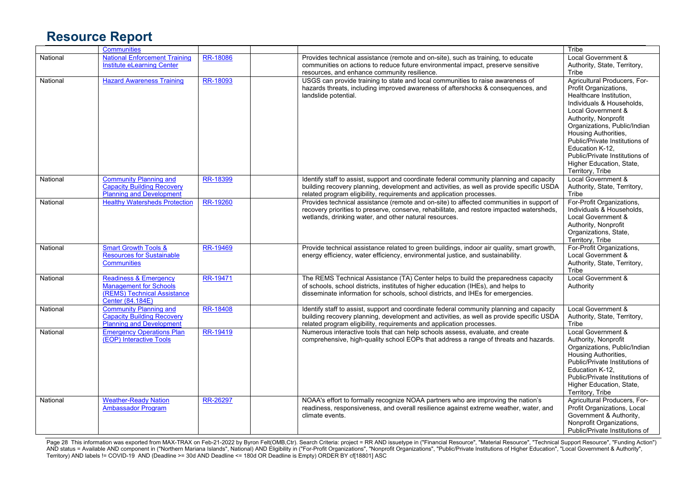|          | <b>Communities</b>                                                                                                   |                 |                                                                                                                                                                                                                                                              | Tribe                                                                                                                                                                                                                                                                                                                                                      |
|----------|----------------------------------------------------------------------------------------------------------------------|-----------------|--------------------------------------------------------------------------------------------------------------------------------------------------------------------------------------------------------------------------------------------------------------|------------------------------------------------------------------------------------------------------------------------------------------------------------------------------------------------------------------------------------------------------------------------------------------------------------------------------------------------------------|
| National | <b>National Enforcement Training</b><br><b>Institute eLearning Center</b>                                            | RR-18086        | Provides technical assistance (remote and on-site), such as training, to educate<br>communities on actions to reduce future environmental impact, preserve sensitive<br>resources, and enhance community resilience.                                         | Local Government &<br>Authority, State, Territory,<br>Tribe                                                                                                                                                                                                                                                                                                |
| National | <b>Hazard Awareness Training</b>                                                                                     | RR-18093        | USGS can provide training to state and local communities to raise awareness of<br>hazards threats, including improved awareness of aftershocks & consequences, and<br>landslide potential.                                                                   | Agricultural Producers, For-<br>Profit Organizations,<br>Healthcare Institution,<br>Individuals & Households.<br>Local Government &<br>Authority, Nonprofit<br>Organizations, Public/Indian<br>Housing Authorities,<br>Public/Private Institutions of<br>Education K-12,<br>Public/Private Institutions of<br>Higher Education, State,<br>Territory, Tribe |
| National | <b>Community Planning and</b><br><b>Capacity Building Recovery</b><br><b>Planning and Development</b>                | RR-18399        | Identify staff to assist, support and coordinate federal community planning and capacity<br>building recovery planning, development and activities, as well as provide specific USDA<br>related program eligibility, requirements and application processes. | Local Government &<br>Authority, State, Territory,<br>Tribe                                                                                                                                                                                                                                                                                                |
| National | <b>Healthy Watersheds Protection</b>                                                                                 | RR-19260        | Provides technical assistance (remote and on-site) to affected communities in support of<br>recovery priorities to preserve, conserve, rehabilitate, and restore impacted watersheds,<br>wetlands, drinking water, and other natural resources.              | For-Profit Organizations,<br>Individuals & Households.<br>Local Government &<br>Authority, Nonprofit<br>Organizations, State,<br>Territory, Tribe                                                                                                                                                                                                          |
| National | <b>Smart Growth Tools &amp;</b><br><b>Resources for Sustainable</b><br><b>Communities</b>                            | <b>RR-19469</b> | Provide technical assistance related to green buildings, indoor air quality, smart growth,<br>energy efficiency, water efficiency, environmental justice, and sustainability.                                                                                | For-Profit Organizations,<br>Local Government &<br>Authority, State, Territory,<br>Tribe                                                                                                                                                                                                                                                                   |
| National | <b>Readiness &amp; Emergency</b><br><b>Management for Schools</b><br>(REMS) Technical Assistance<br>Center (84.184E) | RR-19471        | The REMS Technical Assistance (TA) Center helps to build the preparedness capacity<br>of schools, school districts, institutes of higher education (IHEs), and helps to<br>disseminate information for schools, school districts, and IHEs for emergencies.  | Local Government &<br>Authority                                                                                                                                                                                                                                                                                                                            |
| National | <b>Community Planning and</b><br><b>Capacity Building Recovery</b><br><b>Planning and Development</b>                | RR-18408        | Identify staff to assist, support and coordinate federal community planning and capacity<br>building recovery planning, development and activities, as well as provide specific USDA<br>related program eligibility, requirements and application processes. | Local Government &<br>Authority, State, Territory,<br>Tribe                                                                                                                                                                                                                                                                                                |
| National | <b>Emergency Operations Plan</b><br>(EOP) Interactive Tools                                                          | RR-19419        | Numerous interactive tools that can help schools assess, evaluate, and create<br>comprehensive, high-quality school EOPs that address a range of threats and hazards.                                                                                        | <b>Local Government &amp;</b><br>Authority, Nonprofit<br>Organizations, Public/Indian<br>Housing Authorities,<br>Public/Private Institutions of<br>Education K-12.<br>Public/Private Institutions of<br>Higher Education, State,<br>Territory, Tribe                                                                                                       |
| National | <b>Weather-Ready Nation</b><br><b>Ambassador Program</b>                                                             | RR-26297        | NOAA's effort to formally recognize NOAA partners who are improving the nation's<br>readiness, responsiveness, and overall resilience against extreme weather, water, and<br>climate events.                                                                 | Agricultural Producers, For-<br>Profit Organizations, Local<br>Government & Authority,<br>Nonprofit Organizations,<br>Public/Private Institutions of                                                                                                                                                                                                       |

Page 28 This information was exported from MAX-TRAX on Feb-21-2022 by Byron Felt(OMB,Ctr). Search Criteria: project = RR AND issuetype in ("Financial Resource", "Material Resource", "Technical Support Resource", "Funding A AND status = Available AND component in ("Northern Mariana Islands", National) AND Eligibility in ("For-Profit Organizations", "Nonprofit Organizations", "Public/Private Institutions of Higher Education", "Local Government Territory) AND labels != COVID-19 AND (Deadline >= 30d AND Deadline <= 180d OR Deadline is Empty) ORDER BY cf[18801] ASC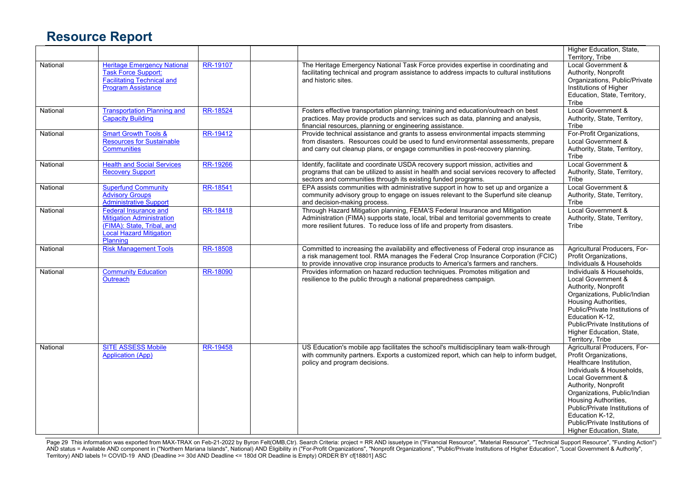|          |                                                                                                                                              |                 |                                                                                                                                                                                                                                                                  | Higher Education, State,<br>Territory, Tribe                                                                                                                                                                                                                                                                                           |
|----------|----------------------------------------------------------------------------------------------------------------------------------------------|-----------------|------------------------------------------------------------------------------------------------------------------------------------------------------------------------------------------------------------------------------------------------------------------|----------------------------------------------------------------------------------------------------------------------------------------------------------------------------------------------------------------------------------------------------------------------------------------------------------------------------------------|
| National | <b>Heritage Emergency National</b><br>Task Force Support:<br><b>Facilitating Technical and</b><br><b>Program Assistance</b>                  | RR-19107        | The Heritage Emergency National Task Force provides expertise in coordinating and<br>facilitating technical and program assistance to address impacts to cultural institutions<br>and historic sites.                                                            | Local Government &<br>Authority, Nonprofit<br>Organizations, Public/Private<br>Institutions of Higher<br>Education, State, Territory,<br>Tribe                                                                                                                                                                                         |
| National | <b>Transportation Planning and</b><br><b>Capacity Building</b>                                                                               | RR-18524        | Fosters effective transportation planning; training and education/outreach on best<br>practices. May provide products and services such as data, planning and analysis,<br>financial resources, planning or engineering assistance.                              | Local Government &<br>Authority, State, Territory,<br>Tribe                                                                                                                                                                                                                                                                            |
| National | <b>Smart Growth Tools &amp;</b><br><b>Resources for Sustainable</b><br><b>Communities</b>                                                    | RR-19412        | Provide technical assistance and grants to assess environmental impacts stemming<br>from disasters. Resources could be used to fund environmental assessments, prepare<br>and carry out cleanup plans, or engage communities in post-recovery planning.          | For-Profit Organizations,<br>Local Government &<br>Authority, State, Territory,<br>Tribe                                                                                                                                                                                                                                               |
| National | <b>Health and Social Services</b><br><b>Recovery Support</b>                                                                                 | RR-19266        | Identify, facilitate and coordinate USDA recovery support mission, activities and<br>programs that can be utilized to assist in health and social services recovery to affected<br>sectors and communities through its existing funded programs.                 | Local Government &<br>Authority, State, Territory,<br>Tribe                                                                                                                                                                                                                                                                            |
| National | <b>Superfund Community</b><br><b>Advisory Groups</b><br><b>Administrative Support</b>                                                        | RR-18541        | EPA assists communities with administrative support in how to set up and organize a<br>community advisory group to engage on issues relevant to the Superfund site cleanup<br>and decision-making process.                                                       | <b>Local Government &amp;</b><br>Authority, State, Territory,<br>Tribe                                                                                                                                                                                                                                                                 |
| National | <b>Federal Insurance and</b><br><b>Mitigation Administration</b><br>(FIMA): State, Tribal, and<br><b>Local Hazard Mitigation</b><br>Planning | RR-18418        | Through Hazard Mitigation planning, FEMA'S Federal Insurance and Mitigation<br>Administration (FIMA) supports state, local, tribal and territorial governments to create<br>more resilient futures. To reduce loss of life and property from disasters.          | Local Government &<br>Authority, State, Territory,<br>Tribe                                                                                                                                                                                                                                                                            |
| National | <b>Risk Management Tools</b>                                                                                                                 | RR-18508        | Committed to increasing the availability and effectiveness of Federal crop insurance as<br>a risk management tool. RMA manages the Federal Crop Insurance Corporation (FCIC)<br>to provide innovative crop insurance products to America's farmers and ranchers. | Agricultural Producers, For-<br>Profit Organizations,<br>Individuals & Households                                                                                                                                                                                                                                                      |
| National | <b>Community Education</b><br>Outreach                                                                                                       | RR-18090        | Provides information on hazard reduction techniques. Promotes mitigation and<br>resilience to the public through a national preparedness campaign.                                                                                                               | Individuals & Households,<br>Local Government &<br>Authority, Nonprofit<br>Organizations, Public/Indian<br>Housing Authorities,<br>Public/Private Institutions of<br>Education K-12.<br>Public/Private Institutions of<br>Higher Education, State,<br>Territory, Tribe                                                                 |
| National | <b>SITE ASSESS Mobile</b><br><b>Application (App)</b>                                                                                        | <b>RR-19458</b> | US Education's mobile app facilitates the school's multidisciplinary team walk-through<br>with community partners. Exports a customized report, which can help to inform budget,<br>policy and program decisions.                                                | Agricultural Producers, For-<br>Profit Organizations,<br>Healthcare Institution,<br>Individuals & Households,<br>Local Government &<br>Authority, Nonprofit<br>Organizations, Public/Indian<br>Housing Authorities,<br>Public/Private Institutions of<br>Education K-12.<br>Public/Private Institutions of<br>Higher Education, State, |

Page 29 This information was exported from MAX-TRAX on Feb-21-2022 by Byron Felt(OMB,Ctr). Search Criteria: project = RR AND issuetype in ("Financial Resource", "Material Resource", "Technical Support Resource", "Funding A AND status = Available AND component in ("Northern Mariana Islands", National) AND Eligibility in ("For-Profit Organizations", "Nonprofit Organizations", "Public/Private Institutions of Higher Education", "Local Government Territory) AND labels != COVID-19 AND (Deadline >= 30d AND Deadline <= 180d OR Deadline is Empty) ORDER BY cf[18801] ASC